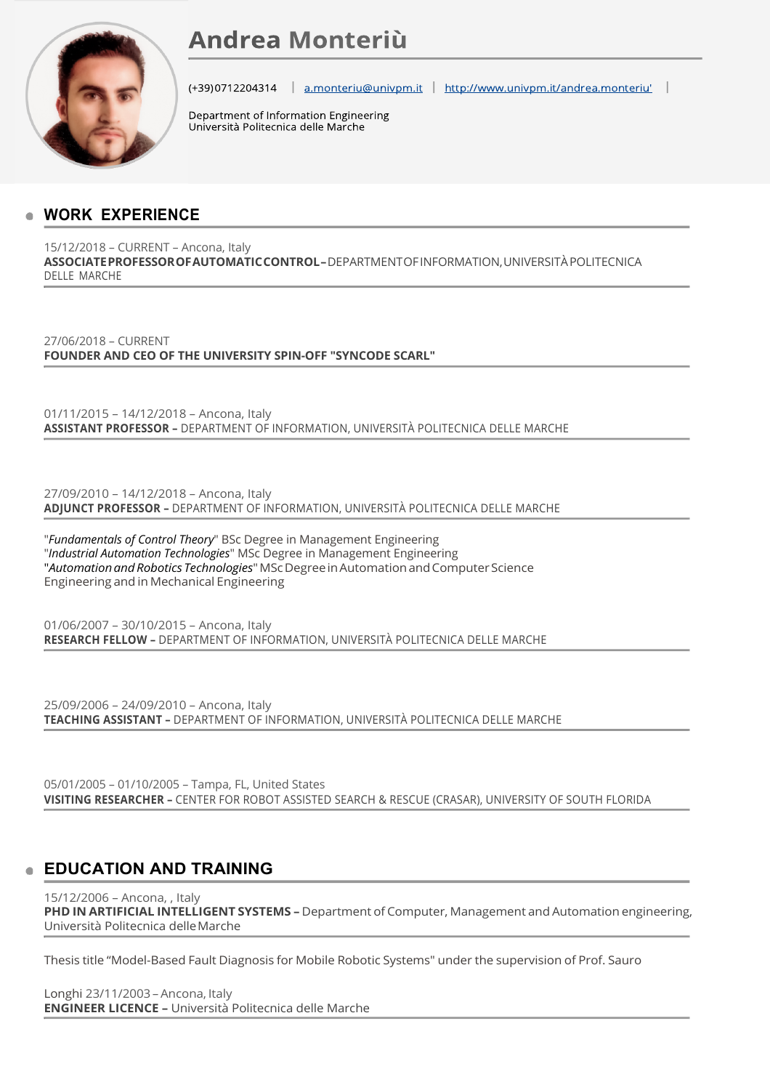# **Andrea Monteriù**



(+39)0712204314 a.monteriu@univpm.it http://www.univpm.it/andrea.monteriu

Department of Information Engineering Università Politecnica delle Marche

# **WORK EXPERIENCE**

15/12/2018 – CURRENT – Ancona, Italy **ASSOCIATEPROFESSOROFAUTOMATICCONTROL–**DEPARTMENTOFINFORMATION,UNIVERSITÀPOLITECNICA DELLE MARCHE

27/06/2018 – CURRENT **FOUNDER AND CEO OF THE UNIVERSITY SPIN-OFF "SYNCODE SCARL"**

01/11/2015 – 14/12/2018 – Ancona, Italy **ASSISTANT PROFESSOR –** DEPARTMENT OF INFORMATION, UNIVERSITÀ POLITECNICA DELLE MARCHE

27/09/2010 – 14/12/2018 – Ancona, Italy **ADJUNCT PROFESSOR –** DEPARTMENT OF INFORMATION, UNIVERSITÀ POLITECNICA DELLE MARCHE

"*Fundamentals of Control Theory*" BSc Degree in Management Engineering "*Industrial Automation Technologies*" MSc Degree in Management Engineering "*AutomationandRobotics Technologies*"MScDegreeinAutomationandComputerScience Engineering and in Mechanical Engineering

01/06/2007 – 30/10/2015 – Ancona, Italy **RESEARCH FELLOW –** DEPARTMENT OF INFORMATION, UNIVERSITÀ POLITECNICA DELLE MARCHE

25/09/2006 – 24/09/2010 – Ancona, Italy **TEACHING ASSISTANT –** DEPARTMENT OF INFORMATION, UNIVERSITÀ POLITECNICA DELLE MARCHE

05/01/2005 – 01/10/2005 – Tampa, FL, United States **VISITING RESEARCHER –** CENTER FOR ROBOT ASSISTED SEARCH & RESCUE (CRASAR), UNIVERSITY OF SOUTH FLORIDA

# **EDUCATION AND TRAINING**

15/12/2006 – Ancona, , Italy **PHD IN ARTIFICIAL INTELLIGENT SYSTEMS –** Department of Computer, Management and Automation engineering, Università Politecnica delleMarche

Thesis title "Model-Based Fault Diagnosis for Mobile Robotic Systems" under the supervision of Prof. Sauro

Longhi 23/11/2003 –Ancona, Italy **ENGINEER LICENCE –** Università Politecnica delle Marche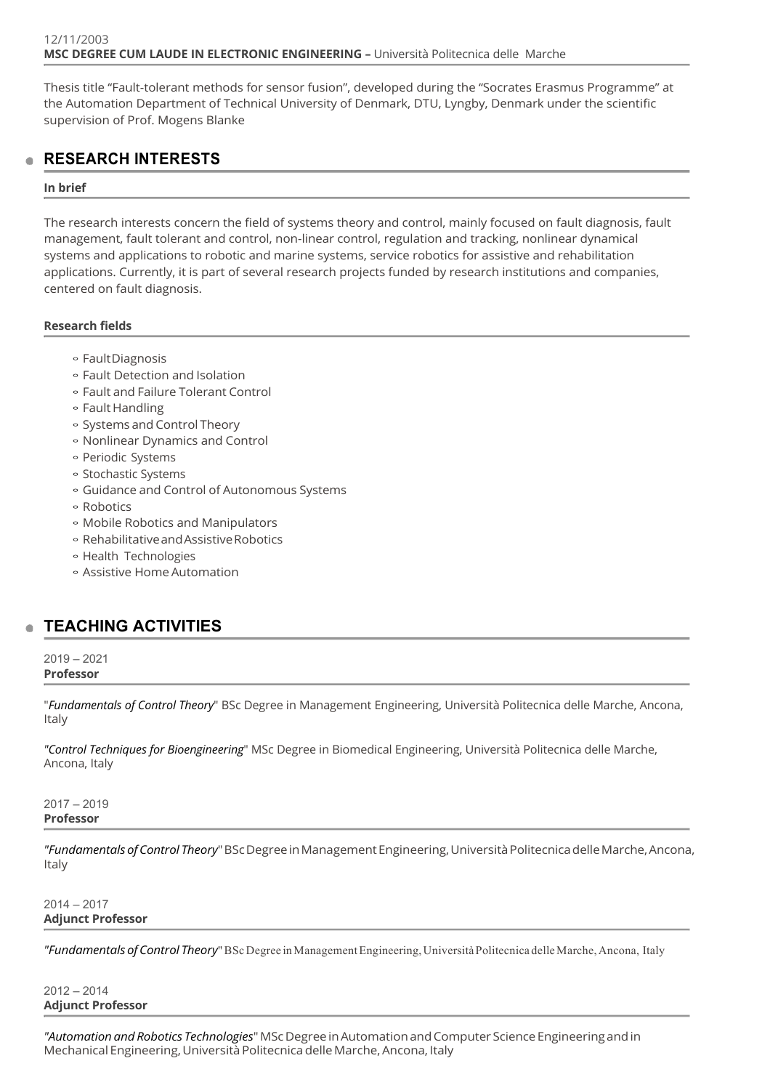Thesis title "Fault-tolerant methods for sensor fusion", developed during the "Socrates Erasmus Programme" at the Automation Department of Technical University of Denmark, DTU, Lyngby, Denmark under the scientific supervision of Prof. Mogens Blanke

# **RESEARCH INTERESTS**

# **In brief**

The research interests concern the field of systems theory and control, mainly focused on fault diagnosis, fault management, fault tolerant and control, non-linear control, regulation and tracking, nonlinear dynamical systems and applications to robotic and marine systems, service robotics for assistive and rehabilitation applications. Currently, it is part of several research projects funded by research institutions and companies, centered on fault diagnosis.

# **Research fields**

- FaultDiagnosis
- Fault Detection and Isolation
- Fault and Failure Tolerant Control
- Fault Handling
- Systems andControl Theory
- Nonlinear Dynamics and Control
- Periodic Systems
- Stochastic Systems
- Guidance and Control of Autonomous Systems
- Robotics
- Mobile Robotics and Manipulators
- RehabilitativeandAssistiveRobotics
- Health Technologies
- Assistive HomeAutomation

# **TEACHING ACTIVITIES**

#### 2019 – 2021 **Professor**

"*Fundamentals of Control Theory*" BSc Degree in Management Engineering, Università Politecnica delle Marche, Ancona, Italy

*"Control Techniques for Bioengineering*" MSc Degree in Biomedical Engineering, Università Politecnica delle Marche, Ancona, Italy

# 2017 – 2019 **Professor**

*"FundamentalsofControl Theory*"BScDegreeinManagementEngineering,UniversitàPolitecnicadelleMarche,Ancona, Italy

# 2014 – 2017 **Adjunct Professor**

*"FundamentalsofControl Theory*"BScDegree inManagementEngineering,UniversitàPolitecnica delleMarche,Ancona, Italy

# 2012 – 2014 **Adjunct Professor**

*"Automation and Robotics Technologies*"MScDegreeinAutomationandComputer ScienceEngineeringandin Mechanical Engineering, Università Politecnica delle Marche, Ancona, Italy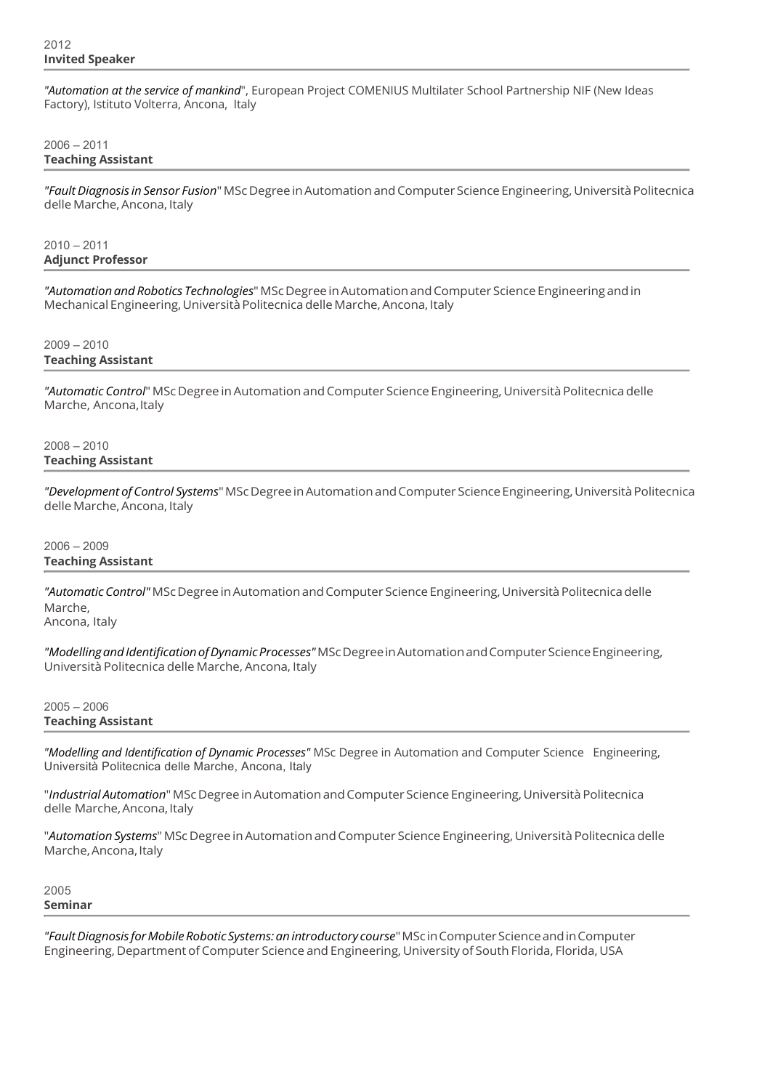*"Automation at the service of mankind*", European Project COMENIUS Multilater School Partnership NIF (New Ideas Factory), Istituto Volterra, Ancona, Italy

# 2006 – 2011 **Teaching Assistant**

*"FaultDiagnosis in Sensor Fusion*"MScDegree inAutomationandComputer Science Engineering,UniversitàPolitecnica delle Marche, Ancona, Italy

 $2010 - 2011$ **Adjunct Professor**

*"Automation and Robotics Technologies*"MScDegreeinAutomationandComputer ScienceEngineeringandin Mechanical Engineering, Università Politecnica delle Marche, Ancona, Italy

# 2009 – 2010 **Teaching Assistant**

"Automatic Control" MSc Degree in Automation and Computer Science Engineering, Università Politecnica delle Marche, Ancona, Italy

2008 – 2010 **Teaching Assistant**

*"Development of Control Systems*"MScDegreeinAutomationandComputer ScienceEngineering,UniversitàPolitecnica delle Marche, Ancona, Italy

# 2006 – 2009 **Teaching Assistant**

"Automatic Control" MSc Degree in Automation and Computer Science Engineering, Università Politecnica delle Marche,

Ancona, Italy

*"ModellingandIdentificationofDynamicProcesses"*MScDegreeinAutomationandComputerScienceEngineering, Università Politecnica delle Marche, Ancona, Italy

2005 – 2006 **Teaching Assistant**

*"Modelling and Identification of Dynamic Processes"* MSc Degree in Automation and Computer Science Engineering, Università Politecnica delle Marche, Ancona, Italy

"Industrial Automation" MSc Degree in Automation and Computer Science Engineering, Università Politecnica delle Marche, Ancona, Italy

"Automation Systems" MSc Degree in Automation and Computer Science Engineering, Università Politecnica delle Marche, Ancona, Italy

2005 **Seminar**

*"FaultDiagnosis forMobileRobotic Systems:anintroductory course*"MScinComputerScienceandinComputer Engineering, Department of Computer Science and Engineering, University of South Florida, Florida, USA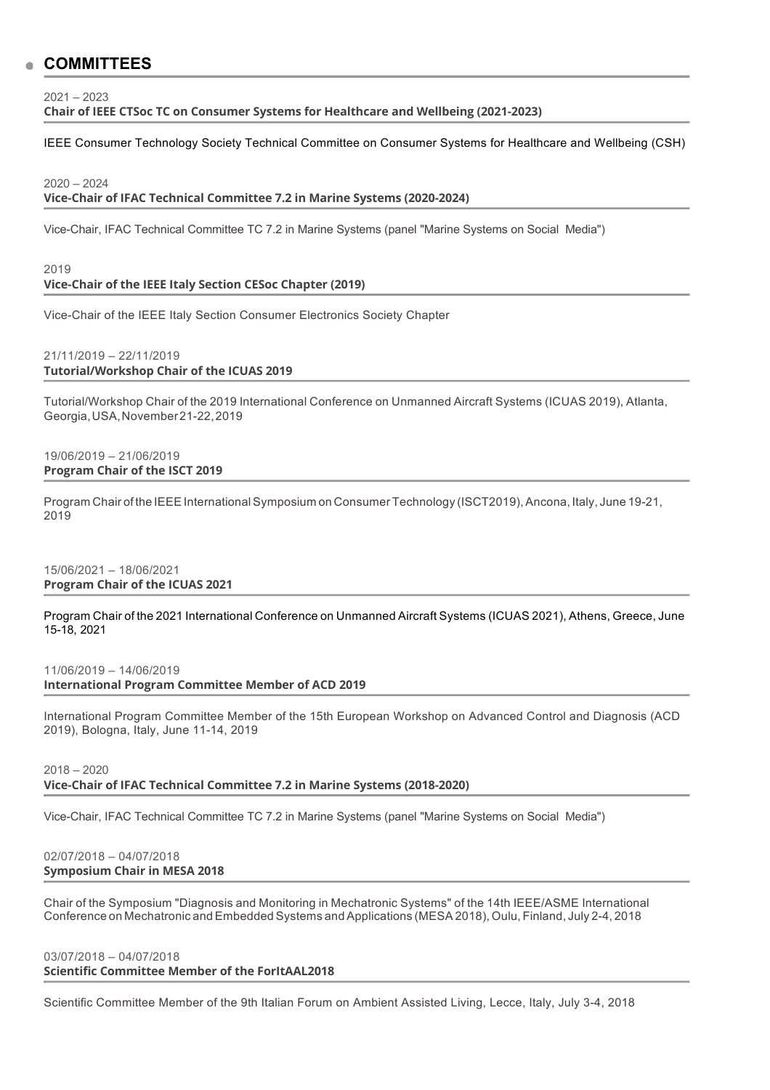# **COMMITTEES**

2021 – 2023

**Chair of IEEE CTSoc TC on Consumer Systems for Healthcare and Wellbeing (2021-2023)**

IEEE Consumer Technology Society Technical Committee on Consumer Systems for Healthcare and Wellbeing (CSH)

#### $2020 - 2024$

**Vice-Chair of IFAC Technical Committee 7.2 in Marine Systems (2020-2024)**

Vice-Chair, IFAC Technical Committee TC 7.2 in Marine Systems (panel "Marine Systems on Social Media")

# 2019 **Vice-Chair of the IEEE Italy Section CESoc Chapter (2019)**

Vice-Chair of the IEEE Italy Section Consumer Electronics Society Chapter

#### 21/11/2019 – 22/11/2019 **Tutorial/Workshop Chair of the ICUAS 2019**

Tutorial/Workshop Chair of the 2019 International Conference on Unmanned Aircraft Systems (ICUAS 2019), Atlanta, Georgia,USA,November21-22,2019

#### 19/06/2019 – 21/06/2019 **Program Chair of the ISCT 2019**

Program Chair of the IEEE International Symposium on Consumer Technology (ISCT2019), Ancona, Italy, June 19-21, 2019

#### 15/06/2021 – 18/06/2021 **Program Chair of the ICUAS 2021**

Program Chair of the 2021 International Conference on Unmanned Aircraft Systems (ICUAS 2021), Athens, Greece, June 15-18, 2021

#### 11/06/2019 – 14/06/2019 **International Program Committee Member of ACD 2019**

International Program Committee Member of the 15th European Workshop on Advanced Control and Diagnosis (ACD 2019), Bologna, Italy, June 11-14, 2019

# 2018 – 2020 **Vice-Chair of IFAC Technical Committee 7.2 in Marine Systems (2018-2020)**

Vice-Chair, IFAC Technical Committee TC 7.2 in Marine Systems (panel "Marine Systems on Social Media")

#### 02/07/2018 – 04/07/2018 **Symposium Chair in MESA 2018**

Chair of the Symposium "Diagnosis and Monitoring in Mechatronic Systems" of the 14th IEEE/ASME International Conference on Mechatronic and Embedded Systems and Applications (MESA 2018), Oulu, Finland, July 2-4, 2018

# 03/07/2018 – 04/07/2018

# **Scientific Committee Member of the ForItAAL2018**

Scientific Committee Member of the 9th Italian Forum on Ambient Assisted Living, Lecce, Italy, July 3-4, 2018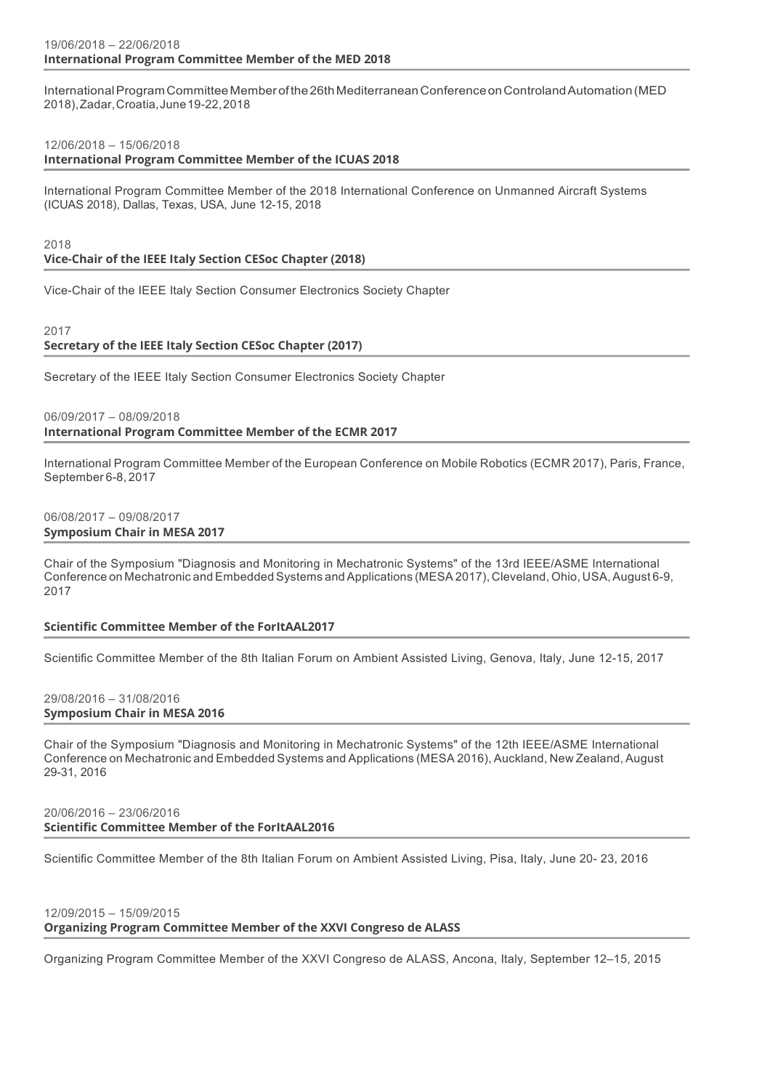International Program Committee Member of the 26th Mediterranean Conference on Controland Automation (MED 2018),Zadar,Croatia,June19-22,2018

#### 12/06/2018 – 15/06/2018

**International Program Committee Member of the ICUAS 2018**

International Program Committee Member of the 2018 International Conference on Unmanned Aircraft Systems (ICUAS 2018), Dallas, Texas, USA, June 12-15, 2018

2018

#### **Vice-Chair of the IEEE Italy Section CESoc Chapter (2018)**

Vice-Chair of the IEEE Italy Section Consumer Electronics Society Chapter

#### 2017

# **Secretary of the IEEE Italy Section CESoc Chapter (2017)**

Secretary of the IEEE Italy Section Consumer Electronics Society Chapter

#### 06/09/2017 – 08/09/2018

**International Program Committee Member of the ECMR 2017**

International Program Committee Member of the European Conference on Mobile Robotics (ECMR 2017), Paris, France, September 6-8, 2017

#### 06/08/2017 – 09/08/2017 **Symposium Chair in MESA 2017**

Chair of the Symposium "Diagnosis and Monitoring in Mechatronic Systems" of the 13rd IEEE/ASME International Conference on Mechatronic and Embedded Systems and Applications (MESA 2017), Cleveland, Ohio, USA,August 6-9, 2017

# **Scientific Committee Member of the ForItAAL2017**

Scientific Committee Member of the 8th Italian Forum on Ambient Assisted Living, Genova, Italy, June 12-15, 2017

#### 29/08/2016 – 31/08/2016 **Symposium Chair in MESA 2016**

Chair of the Symposium "Diagnosis and Monitoring in Mechatronic Systems" of the 12th IEEE/ASME International Conference on Mechatronic and Embedded Systems and Applications (MESA 2016), Auckland, New Zealand, August 29-31, 2016

# 20/06/2016 – 23/06/2016 **Scientific Committee Member of the ForItAAL2016**

Scientific Committee Member of the 8th Italian Forum on Ambient Assisted Living, Pisa, Italy, June 20- 23, 2016

# 12/09/2015 – 15/09/2015 **Organizing Program Committee Member of the XXVI Congreso de ALASS**

Organizing Program Committee Member of the XXVI Congreso de ALASS, Ancona, Italy, September 12–15, 2015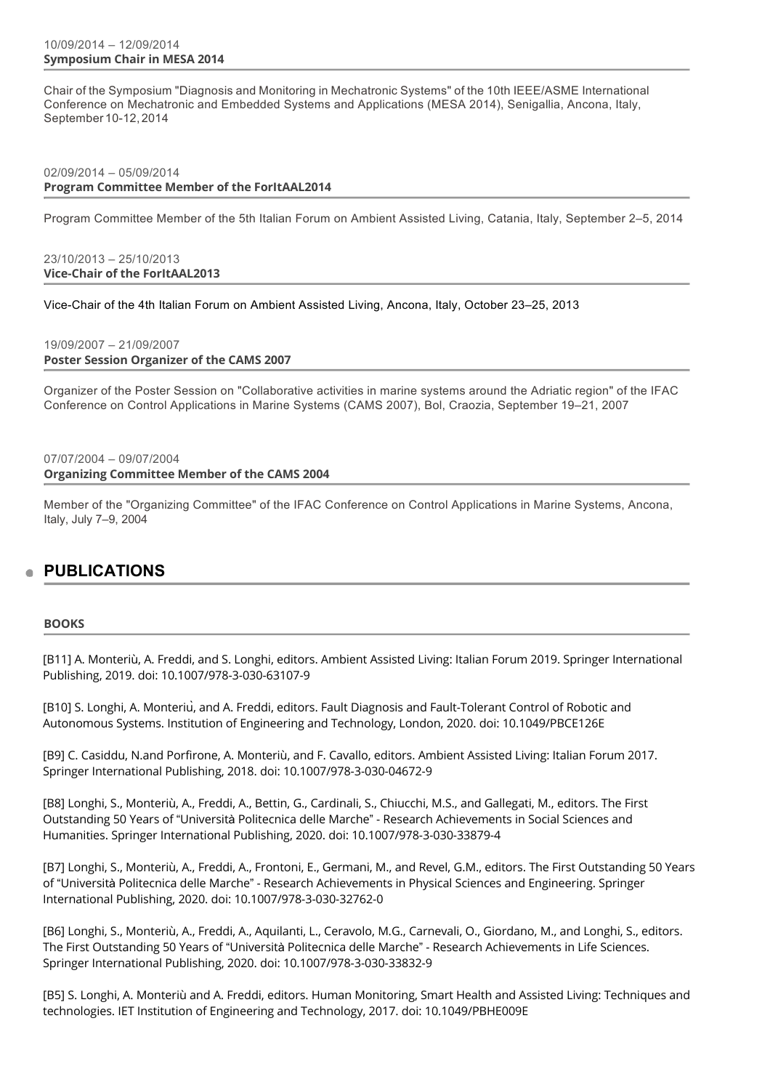# 10/09/2014 – 12/09/2014 **Symposium Chair in MESA 2014**

Chair of the Symposium "Diagnosis and Monitoring in Mechatronic Systems" of the 10th IEEE/ASME International Conference on Mechatronic and Embedded Systems and Applications (MESA 2014), Senigallia, Ancona, Italy, September 10-12,2014

# 02/09/2014 – 05/09/2014 **Program Committee Member of the ForItAAL2014**

Program Committee Member of the 5th Italian Forum on Ambient Assisted Living, Catania, Italy, September 2–5, 2014

### 23/10/2013 – 25/10/2013 **Vice-Chair of the ForItAAL2013**

Vice-Chair of the 4th Italian Forum on Ambient Assisted Living, Ancona, Italy, October 23–25, 2013

# 19/09/2007 – 21/09/2007

**Poster Session Organizer of the CAMS 2007**

Organizer of the Poster Session on "Collaborative activities in marine systems around the Adriatic region" of the IFAC Conference on Control Applications in Marine Systems (CAMS 2007), Bol, Craozia, September 19–21, 2007

#### 07/07/2004 – 09/07/2004 **Organizing Committee Member of the CAMS 2004**

Member of the "Organizing Committee" of the IFAC Conference on Control Applications in Marine Systems, Ancona, Italy, July 7–9, 2004

# **PUBLICATIONS**

# **BOOKS**

[B11] A. Monteriù, A. Freddi, and S. Longhi, editors. Ambient Assisted Living: Italian Forum 2019. Springer International Publishing, 2019. doi: 10.1007/978-3-030-63107-9

[B10] S. Longhi, A. Monteriù, and A. Freddi, editors. Fault Diagnosis and Fault-Tolerant Control of Robotic and Autonomous Systems. Institution of Engineering and Technology, London, 2020. doi: 10.1049/PBCE126E

[B9] C. Casiddu, N.and Porfirone, A. Monteriù, and F. Cavallo, editors. Ambient Assisted Living: Italian Forum 2017. Springer International Publishing, 2018. doi: 10.1007/978-3-030-04672-9

[B8] Longhi, S., Monteriù, A., Freddi, A., Bettin, G., Cardinali, S., Chiucchi, M.S., and Gallegati, M., editors. The First Outstanding 50 Years of "Università Politecnica delle Marche" - Research Achievements in Social Sciences and Humanities. Springer International Publishing, 2020. doi: 10.1007/978-3-030-33879-4

[B7] Longhi, S., Monteriù, A., Freddi, A., Frontoni, E., Germani, M., and Revel, G.M., editors. The First Outstanding 50 Years of "Università Politecnica delle Marche" - Research Achievements in Physical Sciences and Engineering. Springer International Publishing, 2020. doi: 10.1007/978-3-030-32762-0

[B6] Longhi, S., Monteriù, A., Freddi, A., Aquilanti, L., Ceravolo, M.G., Carnevali, O., Giordano, M., and Longhi, S., editors. The First Outstanding 50 Years of "Università Politecnica delle Marche" - Research Achievements in Life Sciences. Springer International Publishing, 2020. doi: 10.1007/978-3-030-33832-9

[B5] S. Longhi, A. Monteriù and A. Freddi, editors. Human Monitoring, Smart Health and Assisted Living: Techniques and technologies. IET Institution of Engineering and Technology, 2017. doi: 10.1049/PBHE009E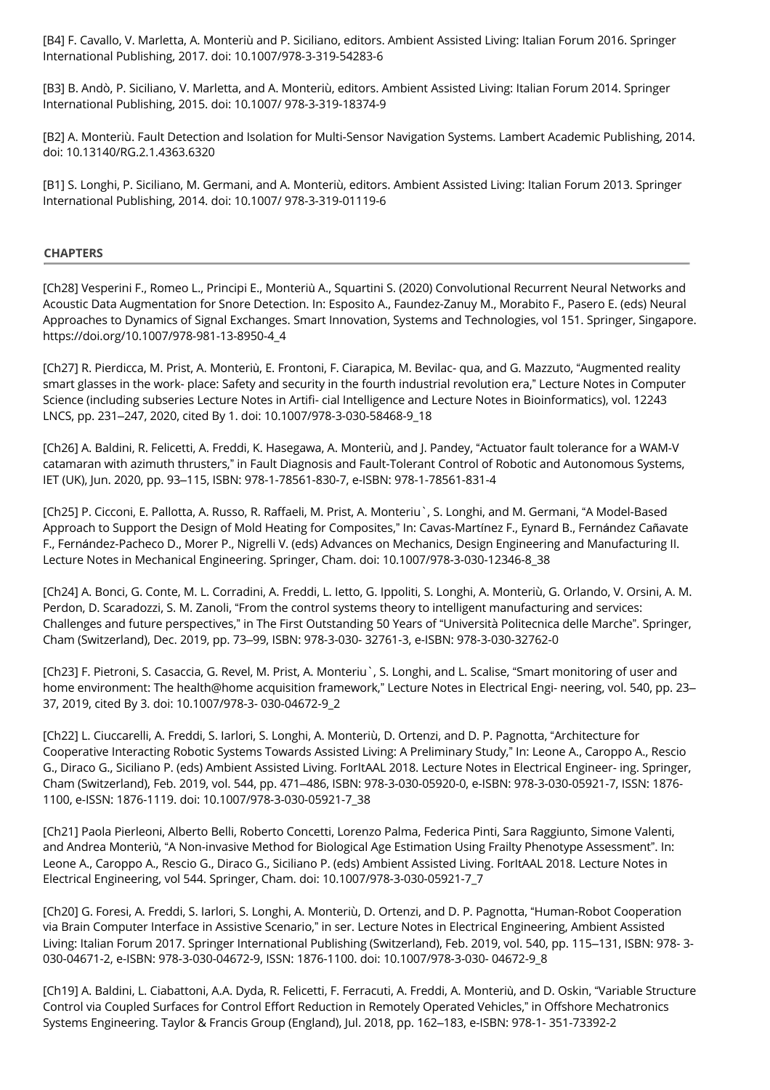[B4] F. Cavallo, V. Marletta, A. Monteriù and P. Siciliano, editors. Ambient Assisted Living: Italian Forum 2016. Springer International Publishing, 2017. doi: 10.1007/978-3-319-54283-6

[B3] B. Andò, P. Siciliano, V. Marletta, and A. Monteriù, editors. Ambient Assisted Living: Italian Forum 2014. Springer International Publishing, 2015. doi: 10.1007/ 978-3-319-18374-9

[B2] A. Monteriù. Fault Detection and Isolation for Multi-Sensor Navigation Systems. Lambert Academic Publishing, 2014. doi: 10.13140/RG.2.1.4363.6320

[B1] S. Longhi, P. Siciliano, M. Germani, and A. Monteriù, editors. Ambient Assisted Living: Italian Forum 2013. Springer International Publishing, 2014. doi: 10.1007/ 978-3-319-01119-6

### **CHAPTERS**

[Ch28] Vesperini F., Romeo L., Principi E., Monteriù A., Squartini S. (2020) Convolutional Recurrent Neural Networks and Acoustic Data Augmentation for Snore Detection. In: Esposito A., Faundez-Zanuy M., Morabito F., Pasero E. (eds) Neural Approaches to Dynamics of Signal Exchanges. Smart Innovation, Systems and Technologies, vol 151. Springer, Singapore. https://doi.org/10.1007/978-981-13-8950-4\_4

[Ch27] R. Pierdicca, M. Prist, A. Monteriù, E. Frontoni, F. Ciarapica, M. Bevilac- qua, and G. Mazzuto, "Augmented reality smart glasses in the work- place: Safety and security in the fourth industrial revolution era," Lecture Notes in Computer Science (including subseries Lecture Notes in Artifi- cial Intelligence and Lecture Notes in Bioinformatics), vol. 12243 LNCS, pp. 231–247, 2020, cited By 1. doi: 10.1007/978-3-030-58468-9\_18

[Ch26] A. Baldini, R. Felicetti, A. Freddi, K. Hasegawa, A. Monteriù, and J. Pandey, "Actuator fault tolerance for a WAM-V catamaran with azimuth thrusters," in Fault Diagnosis and Fault-Tolerant Control of Robotic and Autonomous Systems, IET (UK), Jun. 2020, pp. 93–115, ISBN: 978-1-78561-830-7, e-ISBN: 978-1-78561-831-4

[Ch25] P. Cicconi, E. Pallotta, A. Russo, R. Raffaeli, M. Prist, A. Monteriu`, S. Longhi, and M. Germani, "A Model-Based Approach to Support the Design of Mold Heating for Composites," In: Cavas-Martínez F., Eynard B., Fernández Cañavate F., Fernández-Pacheco D., Morer P., Nigrelli V. (eds) Advances on Mechanics, Design Engineering and Manufacturing II. Lecture Notes in Mechanical Engineering. Springer, Cham. doi: 10.1007/978-3-030-12346-8\_38

[Ch24] A. Bonci, G. Conte, M. L. Corradini, A. Freddi, L. Ietto, G. Ippoliti, S. Longhi, A. Monteriù, G. Orlando, V. Orsini, A. M. Perdon, D. Scaradozzi, S. M. Zanoli, "From the control systems theory to intelligent manufacturing and services: Challenges and future perspectives," in The First Outstanding 50 Years of "Università Politecnica delle Marche". Springer, Cham (Switzerland), Dec. 2019, pp. 73–99, ISBN: 978-3-030- 32761-3, e-ISBN: 978-3-030-32762-0

[Ch23] F. Pietroni, S. Casaccia, G. Revel, M. Prist, A. Monteriu`, S. Longhi, and L. Scalise, "Smart monitoring of user and home environment: The health@home acquisition framework," Lecture Notes in Electrical Engi- neering, vol. 540, pp. 23– 37, 2019, cited By 3. doi: 10.1007/978-3- 030-04672-9\_2

[Ch22] L. Ciuccarelli, A. Freddi, S. Iarlori, S. Longhi, A. Monteriù, D. Ortenzi, and D. P. Pagnotta, "Architecture for Cooperative Interacting Robotic Systems Towards Assisted Living: A Preliminary Study," In: Leone A., Caroppo A., Rescio G., Diraco G., Siciliano P. (eds) Ambient Assisted Living. ForItAAL 2018. Lecture Notes in Electrical Engineer- ing. Springer, Cham (Switzerland), Feb. 2019, vol. 544, pp. 471–486, ISBN: 978-3-030-05920-0, e-ISBN: 978-3-030-05921-7, ISSN: 1876- 1100, e-ISSN: 1876-1119. doi: 10.1007/978-3-030-05921-7\_38

[Ch21] Paola Pierleoni, Alberto Belli, Roberto Concetti, Lorenzo Palma, Federica Pinti, Sara Raggiunto, Simone Valenti, and Andrea Monteriù, "A Non-invasive Method for Biological Age Estimation Using Frailty Phenotype Assessment". In: Leone A., Caroppo A., Rescio G., Diraco G., Siciliano P. (eds) Ambient Assisted Living. ForItAAL 2018. Lecture Notes in Electrical Engineering, vol 544. Springer, Cham. doi: 10.1007/978-3-030-05921-7\_7

[Ch20] G. Foresi, A. Freddi, S. Iarlori, S. Longhi, A. Monteriù, D. Ortenzi, and D. P. Pagnotta, "Human-Robot Cooperation via Brain Computer Interface in Assistive Scenario," in ser. Lecture Notes in Electrical Engineering, Ambient Assisted Living: Italian Forum 2017. Springer International Publishing (Switzerland), Feb. 2019, vol. 540, pp. 115–131, ISBN: 978- 3- 030-04671-2, e-ISBN: 978-3-030-04672-9, ISSN: 1876-1100. doi: 10.1007/978-3-030- 04672-9\_8

[Ch19] A. Baldini, L. Ciabattoni, A.A. Dyda, R. Felicetti, F. Ferracuti, A. Freddi, A. Monteriù, and D. Oskin, "Variable Structure Control via Coupled Surfaces for Control Effort Reduction in Remotely Operated Vehicles," in Offshore Mechatronics Systems Engineering. Taylor & Francis Group (England), Jul. 2018, pp. 162–183, e-ISBN: 978-1- 351-73392-2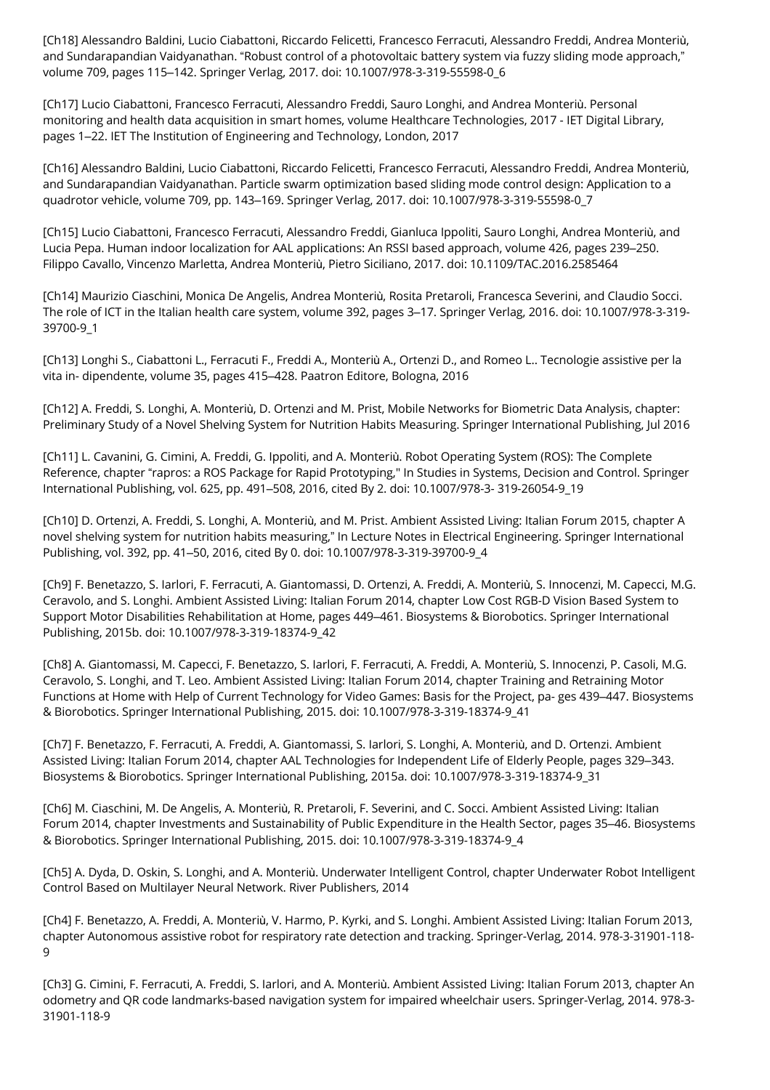[Ch18] Alessandro Baldini, Lucio Ciabattoni, Riccardo Felicetti, Francesco Ferracuti, Alessandro Freddi, Andrea Monteriù, and Sundarapandian Vaidyanathan. "Robust control of a photovoltaic battery system via fuzzy sliding mode approach," volume 709, pages 115–142. Springer Verlag, 2017. doi: 10.1007/978-3-319-55598-0\_6

[Ch17] Lucio Ciabattoni, Francesco Ferracuti, Alessandro Freddi, Sauro Longhi, and Andrea Monteriù. Personal monitoring and health data acquisition in smart homes, volume Healthcare Technologies, 2017 - IET Digital Library, pages 1–22. IET The Institution of Engineering and Technology, London, 2017

[Ch16] Alessandro Baldini, Lucio Ciabattoni, Riccardo Felicetti, Francesco Ferracuti, Alessandro Freddi, Andrea Monteriù, and Sundarapandian Vaidyanathan. Particle swarm optimization based sliding mode control design: Application to a quadrotor vehicle, volume 709, pp. 143–169. Springer Verlag, 2017. doi: 10.1007/978-3-319-55598-0\_7

[Ch15] Lucio Ciabattoni, Francesco Ferracuti, Alessandro Freddi, Gianluca Ippoliti, Sauro Longhi, Andrea Monteriù, and Lucia Pepa. Human indoor localization for AAL applications: An RSSI based approach, volume 426, pages 239–250. Filippo Cavallo, Vincenzo Marletta, Andrea Monteriù, Pietro Siciliano, 2017. doi: 10.1109/TAC.2016.2585464

[Ch14] Maurizio Ciaschini, Monica De Angelis, Andrea Monteriù, Rosita Pretaroli, Francesca Severini, and Claudio Socci. The role of ICT in the Italian health care system, volume 392, pages 3–17. Springer Verlag, 2016. doi: 10.1007/978-3-319- 39700-9\_1

[Ch13] Longhi S., Ciabattoni L., Ferracuti F., Freddi A., Monteriù A., Ortenzi D., and Romeo L.. Tecnologie assistive per la vita in- dipendente, volume 35, pages 415–428. Paatron Editore, Bologna, 2016

[Ch12] A. Freddi, S. Longhi, A. Monteriù, D. Ortenzi and M. Prist, Mobile Networks for Biometric Data Analysis, chapter: Preliminary Study of a Novel Shelving System for Nutrition Habits Measuring. Springer International Publishing, Jul 2016

[Ch11] L. Cavanini, G. Cimini, A. Freddi, G. Ippoliti, and A. Monteriù. Robot Operating System (ROS): The Complete Reference, chapter "rapros: a ROS Package for Rapid Prototyping," In Studies in Systems, Decision and Control. Springer International Publishing, vol. 625, pp. 491–508, 2016, cited By 2. doi: 10.1007/978-3- 319-26054-9\_19

[Ch10] D. Ortenzi, A. Freddi, S. Longhi, A. Monteriù, and M. Prist. Ambient Assisted Living: Italian Forum 2015, chapter A novel shelving system for nutrition habits measuring," In Lecture Notes in Electrical Engineering. Springer International Publishing, vol. 392, pp. 41–50, 2016, cited By 0. doi: 10.1007/978-3-319-39700-9\_4

[Ch9] F. Benetazzo, S. Iarlori, F. Ferracuti, A. Giantomassi, D. Ortenzi, A. Freddi, A. Monteriù, S. Innocenzi, M. Capecci, M.G. Ceravolo, and S. Longhi. Ambient Assisted Living: Italian Forum 2014, chapter Low Cost RGB-D Vision Based System to Support Motor Disabilities Rehabilitation at Home, pages 449–461. Biosystems & Biorobotics. Springer International Publishing, 2015b. doi: 10.1007/978-3-319-18374-9\_42

[Ch8] A. Giantomassi, M. Capecci, F. Benetazzo, S. Iarlori, F. Ferracuti, A. Freddi, A. Monteriù, S. Innocenzi, P. Casoli, M.G. Ceravolo, S. Longhi, and T. Leo. Ambient Assisted Living: Italian Forum 2014, chapter Training and Retraining Motor Functions at Home with Help of Current Technology for Video Games: Basis for the Project, pa- ges 439–447. Biosystems & Biorobotics. Springer International Publishing, 2015. doi: 10.1007/978-3-319-18374-9\_41

[Ch7] F. Benetazzo, F. Ferracuti, A. Freddi, A. Giantomassi, S. Iarlori, S. Longhi, A. Monteriù, and D. Ortenzi. Ambient Assisted Living: Italian Forum 2014, chapter AAL Technologies for Independent Life of Elderly People, pages 329–343. Biosystems & Biorobotics. Springer International Publishing, 2015a. doi: 10.1007/978-3-319-18374-9\_31

[Ch6] M. Ciaschini, M. De Angelis, A. Monteriù, R. Pretaroli, F. Severini, and C. Socci. Ambient Assisted Living: Italian Forum 2014, chapter Investments and Sustainability of Public Expenditure in the Health Sector, pages 35–46. Biosystems & Biorobotics. Springer International Publishing, 2015. doi: 10.1007/978-3-319-18374-9\_4

[Ch5] A. Dyda, D. Oskin, S. Longhi, and A. Monteriù. Underwater Intelligent Control, chapter Underwater Robot Intelligent Control Based on Multilayer Neural Network. River Publishers, 2014

[Ch4] F. Benetazzo, A. Freddi, A. Monteriù, V. Harmo, P. Kyrki, and S. Longhi. Ambient Assisted Living: Italian Forum 2013, chapter Autonomous assistive robot for respiratory rate detection and tracking. Springer-Verlag, 2014. 978-3-31901-118- 9

[Ch3] G. Cimini, F. Ferracuti, A. Freddi, S. Iarlori, and A. Monteriù. Ambient Assisted Living: Italian Forum 2013, chapter An odometry and QR code landmarks-based navigation system for impaired wheelchair users. Springer-Verlag, 2014. 978-3- 31901-118-9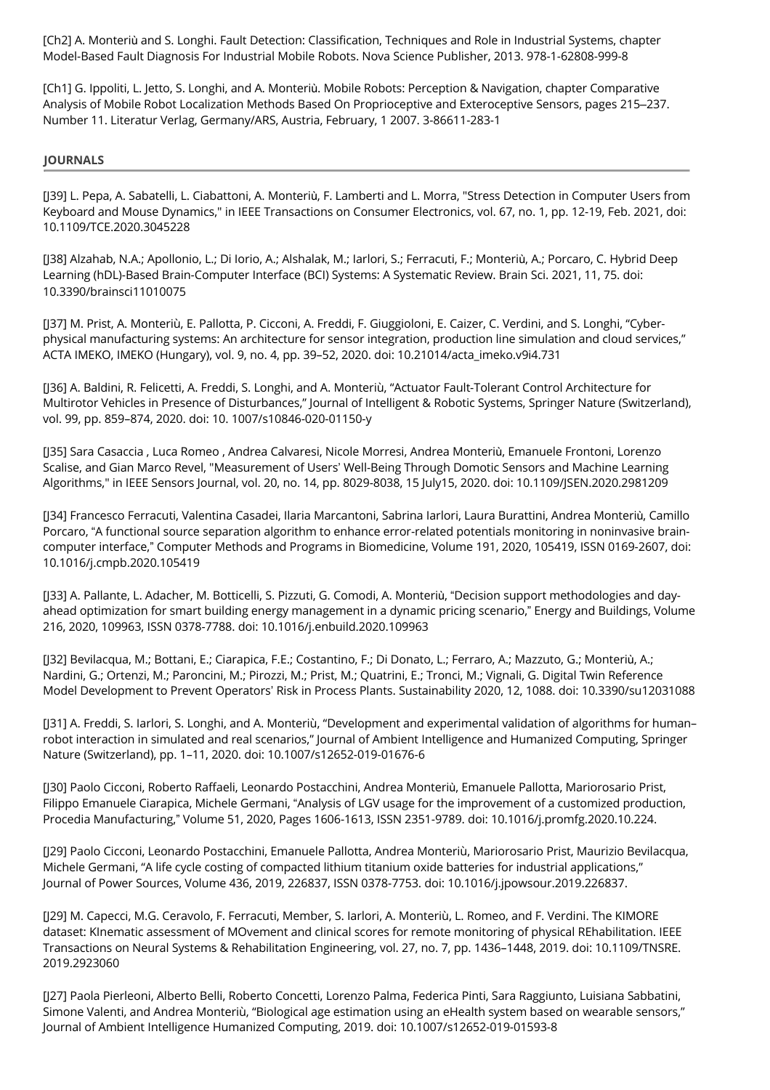[Ch2] A. Monteriù and S. Longhi. Fault Detection: Classification, Techniques and Role in Industrial Systems, chapter Model-Based Fault Diagnosis For Industrial Mobile Robots. Nova Science Publisher, 2013. 978-1-62808-999-8

[Ch1] G. Ippoliti, L. Jetto, S. Longhi, and A. Monteriù. Mobile Robots: Perception & Navigation, chapter Comparative Analysis of Mobile Robot Localization Methods Based On Proprioceptive and Exteroceptive Sensors, pages 215–237. Number 11. Literatur Verlag, Germany/ARS, Austria, February, 1 2007. 3-86611-283-1

# **JOURNALS**

[J39] L. Pepa, A. Sabatelli, L. Ciabattoni, A. Monteriù, F. Lamberti and L. Morra, "Stress Detection in Computer Users from Keyboard and Mouse Dynamics," in IEEE Transactions on Consumer Electronics, vol. 67, no. 1, pp. 12-19, Feb. 2021, doi: 10.1109/TCE.2020.3045228

[J38] Alzahab, N.A.; Apollonio, L.; Di Iorio, A.; Alshalak, M.; Iarlori, S.; Ferracuti, F.; Monteriù, A.; Porcaro, C. Hybrid Deep Learning (hDL)-Based Brain-Computer Interface (BCI) Systems: A Systematic Review. Brain Sci. 2021, 11, 75. doi: 10.3390/brainsci11010075

[J37] M. Prist, A. Monteriù, E. Pallotta, P. Cicconi, A. Freddi, F. Giuggioloni, E. Caizer, C. Verdini, and S. Longhi, "Cyberphysical manufacturing systems: An architecture for sensor integration, production line simulation and cloud services," ACTA IMEKO, IMEKO (Hungary), vol. 9, no. 4, pp. 39–52, 2020. doi: 10.21014/acta\_imeko.v9i4.731

[J36] A. Baldini, R. Felicetti, A. Freddi, S. Longhi, and A. Monteriù, "Actuator Fault-Tolerant Control Architecture for Multirotor Vehicles in Presence of Disturbances," Journal of Intelligent & Robotic Systems, Springer Nature (Switzerland), vol. 99, pp. 859–874, 2020. doi: 10. 1007/s10846-020-01150-y

[J35] Sara Casaccia , Luca Romeo , Andrea Calvaresi, Nicole Morresi, Andrea Monteriù, Emanuele Frontoni, Lorenzo Scalise, and Gian Marco Revel, "Measurement of Users' Well-Being Through Domotic Sensors and Machine Learning Algorithms," in IEEE Sensors Journal, vol. 20, no. 14, pp. 8029-8038, 15 July15, 2020. doi: 10.1109/JSEN.2020.2981209

[J34] Francesco Ferracuti, Valentina Casadei, Ilaria Marcantoni, Sabrina Iarlori, Laura Burattini, Andrea Monteriù, Camillo Porcaro, "A functional source separation algorithm to enhance error-related potentials monitoring in noninvasive braincomputer interface," Computer Methods and Programs in Biomedicine, Volume 191, 2020, 105419, ISSN 0169-2607, doi: 10.1016/j.cmpb.2020.105419

[J33] A. Pallante, L. Adacher, M. Botticelli, S. Pizzuti, G. Comodi, A. Monteriù, "Decision support methodologies and dayahead optimization for smart building energy management in a dynamic pricing scenario," Energy and Buildings, Volume 216, 2020, 109963, ISSN 0378-7788. doi: 10.1016/j.enbuild.2020.109963

[J32] Bevilacqua, M.; Bottani, E.; Ciarapica, F.E.; Costantino, F.; Di Donato, L.; Ferraro, A.; Mazzuto, G.; Monteriù, A.; Nardini, G.; Ortenzi, M.; Paroncini, M.; Pirozzi, M.; Prist, M.; Quatrini, E.; Tronci, M.; Vignali, G. Digital Twin Reference Model Development to Prevent Operators' Risk in Process Plants. Sustainability 2020, 12, 1088. doi: 10.3390/su12031088

[J31] A. Freddi, S. Iarlori, S. Longhi, and A. Monteriù, "Development and experimental validation of algorithms for human– robot interaction in simulated and real scenarios," Journal of Ambient Intelligence and Humanized Computing, Springer Nature (Switzerland), pp. 1–11, 2020. doi: 10.1007/s12652-019-01676-6

[J30] Paolo Cicconi, Roberto Raffaeli, Leonardo Postacchini, Andrea Monteriù, Emanuele Pallotta, Mariorosario Prist, Filippo Emanuele Ciarapica, Michele Germani, "Analysis of LGV usage for the improvement of a customized production, Procedia Manufacturing," Volume 51, 2020, Pages 1606-1613, ISSN 2351-9789. doi: 10.1016/j.promfg.2020.10.224.

[J29] Paolo Cicconi, Leonardo Postacchini, Emanuele Pallotta, Andrea Monteriù, Mariorosario Prist, Maurizio Bevilacqua, Michele Germani, "A life cycle costing of compacted lithium titanium oxide batteries for industrial applications," Journal of Power Sources, Volume 436, 2019, 226837, ISSN 0378-7753. doi: 10.1016/j.jpowsour.2019.226837.

[J29] M. Capecci, M.G. Ceravolo, F. Ferracuti, Member, S. Iarlori, A. Monteriù, L. Romeo, and F. Verdini. The KIMORE dataset: KInematic assessment of MOvement and clinical scores for remote monitoring of physical REhabilitation. IEEE Transactions on Neural Systems & Rehabilitation Engineering, vol. 27, no. 7, pp. 1436–1448, 2019. doi: 10.1109/TNSRE. 2019.2923060

[J27] Paola Pierleoni, Alberto Belli, Roberto Concetti, Lorenzo Palma, Federica Pinti, Sara Raggiunto, Luisiana Sabbatini, Simone Valenti, and Andrea Monteriù, "Biological age estimation using an eHealth system based on wearable sensors," Journal of Ambient Intelligence Humanized Computing, 2019. doi: 10.1007/s12652-019-01593-8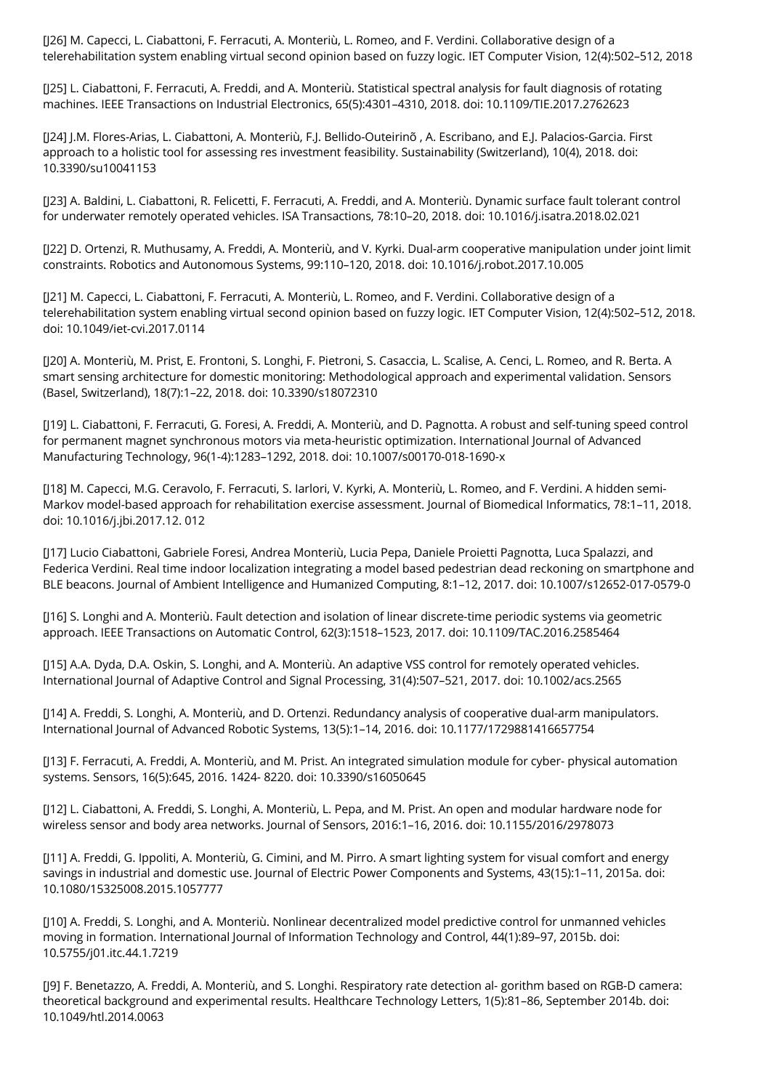[J26] M. Capecci, L. Ciabattoni, F. Ferracuti, A. Monteriù, L. Romeo, and F. Verdini. Collaborative design of a telerehabilitation system enabling virtual second opinion based on fuzzy logic. IET Computer Vision, 12(4):502–512, 2018

[J25] L. Ciabattoni, F. Ferracuti, A. Freddi, and A. Monteriù. Statistical spectral analysis for fault diagnosis of rotating machines. IEEE Transactions on Industrial Electronics, 65(5):4301–4310, 2018. doi: 10.1109/TIE.2017.2762623

[J24] J.M. Flores-Arias, L. Ciabattoni, A. Monteriù, F.J. Bellido-Outeirinõ , A. Escribano, and E.J. Palacios-Garcia. First approach to a holistic tool for assessing res investment feasibility. Sustainability (Switzerland), 10(4), 2018. doi: 10.3390/su10041153

[J23] A. Baldini, L. Ciabattoni, R. Felicetti, F. Ferracuti, A. Freddi, and A. Monteriù. Dynamic surface fault tolerant control for underwater remotely operated vehicles. ISA Transactions, 78:10–20, 2018. doi: 10.1016/j.isatra.2018.02.021

[J22] D. Ortenzi, R. Muthusamy, A. Freddi, A. Monteriù, and V. Kyrki. Dual-arm cooperative manipulation under joint limit constraints. Robotics and Autonomous Systems, 99:110–120, 2018. doi: 10.1016/j.robot.2017.10.005

[J21] M. Capecci, L. Ciabattoni, F. Ferracuti, A. Monteriù, L. Romeo, and F. Verdini. Collaborative design of a telerehabilitation system enabling virtual second opinion based on fuzzy logic. IET Computer Vision, 12(4):502–512, 2018. doi: 10.1049/iet-cvi.2017.0114

[J20] A. Monteriù, M. Prist, E. Frontoni, S. Longhi, F. Pietroni, S. Casaccia, L. Scalise, A. Cenci, L. Romeo, and R. Berta. A smart sensing architecture for domestic monitoring: Methodological approach and experimental validation. Sensors (Basel, Switzerland), 18(7):1–22, 2018. doi: 10.3390/s18072310

[J19] L. Ciabattoni, F. Ferracuti, G. Foresi, A. Freddi, A. Monteriù, and D. Pagnotta. A robust and self-tuning speed control for permanent magnet synchronous motors via meta-heuristic optimization. International Journal of Advanced Manufacturing Technology, 96(1-4):1283–1292, 2018. doi: 10.1007/s00170-018-1690-x

[J18] M. Capecci, M.G. Ceravolo, F. Ferracuti, S. Iarlori, V. Kyrki, A. Monteriù, L. Romeo, and F. Verdini. A hidden semi-Markov model-based approach for rehabilitation exercise assessment. Journal of Biomedical Informatics, 78:1–11, 2018. doi: 10.1016/j.jbi.2017.12. 012

[J17] Lucio Ciabattoni, Gabriele Foresi, Andrea Monteriù, Lucia Pepa, Daniele Proietti Pagnotta, Luca Spalazzi, and Federica Verdini. Real time indoor localization integrating a model based pedestrian dead reckoning on smartphone and BLE beacons. Journal of Ambient Intelligence and Humanized Computing, 8:1–12, 2017. doi: 10.1007/s12652-017-0579-0

[J16] S. Longhi and A. Monteriù. Fault detection and isolation of linear discrete-time periodic systems via geometric approach. IEEE Transactions on Automatic Control, 62(3):1518–1523, 2017. doi: 10.1109/TAC.2016.2585464

[J15] A.A. Dyda, D.A. Oskin, S. Longhi, and A. Monteriù. An adaptive VSS control for remotely operated vehicles. International Journal of Adaptive Control and Signal Processing, 31(4):507–521, 2017. doi: 10.1002/acs.2565

[J14] A. Freddi, S. Longhi, A. Monteriù, and D. Ortenzi. Redundancy analysis of cooperative dual-arm manipulators. International Journal of Advanced Robotic Systems, 13(5):1–14, 2016. doi: 10.1177/1729881416657754

[J13] F. Ferracuti, A. Freddi, A. Monteriù, and M. Prist. An integrated simulation module for cyber- physical automation systems. Sensors, 16(5):645, 2016. 1424- 8220. doi: 10.3390/s16050645

[J12] L. Ciabattoni, A. Freddi, S. Longhi, A. Monteriù, L. Pepa, and M. Prist. An open and modular hardware node for wireless sensor and body area networks. Journal of Sensors, 2016:1–16, 2016. doi: 10.1155/2016/2978073

[J11] A. Freddi, G. Ippoliti, A. Monteriù, G. Cimini, and M. Pirro. A smart lighting system for visual comfort and energy savings in industrial and domestic use. Journal of Electric Power Components and Systems, 43(15):1–11, 2015a. doi: 10.1080/15325008.2015.1057777

[J10] A. Freddi, S. Longhi, and A. Monteriù. Nonlinear decentralized model predictive control for unmanned vehicles moving in formation. International Journal of Information Technology and Control, 44(1):89–97, 2015b. doi: 10.5755/j01.itc.44.1.7219

[J9] F. Benetazzo, A. Freddi, A. Monteriù, and S. Longhi. Respiratory rate detection al- gorithm based on RGB-D camera: theoretical background and experimental results. Healthcare Technology Letters, 1(5):81–86, September 2014b. doi: 10.1049/htl.2014.0063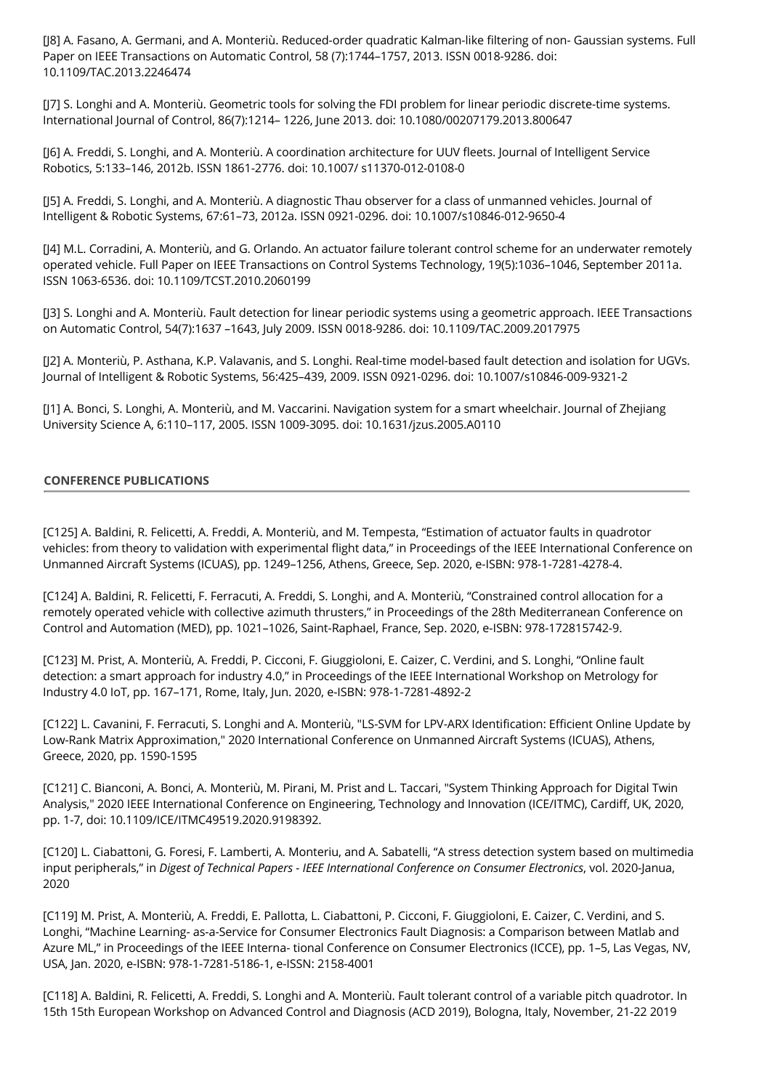[J8] A. Fasano, A. Germani, and A. Monteriù. Reduced-order quadratic Kalman-like filtering of non- Gaussian systems. Full Paper on IEEE Transactions on Automatic Control, 58 (7):1744–1757, 2013. ISSN 0018-9286. doi: 10.1109/TAC.2013.2246474

[J7] S. Longhi and A. Monteriù. Geometric tools for solving the FDI problem for linear periodic discrete-time systems. International Journal of Control, 86(7):1214– 1226, June 2013. doi: 10.1080/00207179.2013.800647

[J6] A. Freddi, S. Longhi, and A. Monteriù. A coordination architecture for UUV fleets. Journal of Intelligent Service Robotics, 5:133–146, 2012b. ISSN 1861-2776. doi: 10.1007/ s11370-012-0108-0

[J5] A. Freddi, S. Longhi, and A. Monteriù. A diagnostic Thau observer for a class of unmanned vehicles. Journal of Intelligent & Robotic Systems, 67:61–73, 2012a. ISSN 0921-0296. doi: 10.1007/s10846-012-9650-4

[J4] M.L. Corradini, A. Monteriù, and G. Orlando. An actuator failure tolerant control scheme for an underwater remotely operated vehicle. Full Paper on IEEE Transactions on Control Systems Technology, 19(5):1036–1046, September 2011a. ISSN 1063-6536. doi: 10.1109/TCST.2010.2060199

[J3] S. Longhi and A. Monteriù. Fault detection for linear periodic systems using a geometric approach. IEEE Transactions on Automatic Control, 54(7):1637 –1643, July 2009. ISSN 0018-9286. doi: 10.1109/TAC.2009.2017975

[J2] A. Monteriù, P. Asthana, K.P. Valavanis, and S. Longhi. Real-time model-based fault detection and isolation for UGVs. Journal of Intelligent & Robotic Systems, 56:425–439, 2009. ISSN 0921-0296. doi: 10.1007/s10846-009-9321-2

[J1] A. Bonci, S. Longhi, A. Monteriù, and M. Vaccarini. Navigation system for a smart wheelchair. Journal of Zhejiang University Science A, 6:110–117, 2005. ISSN 1009-3095. doi: 10.1631/jzus.2005.A0110

# **CONFERENCE PUBLICATIONS**

[C125] A. Baldini, R. Felicetti, A. Freddi, A. Monteriù, and M. Tempesta, "Estimation of actuator faults in quadrotor vehicles: from theory to validation with experimental flight data," in Proceedings of the IEEE International Conference on Unmanned Aircraft Systems (ICUAS), pp. 1249–1256, Athens, Greece, Sep. 2020, e-ISBN: 978-1-7281-4278-4.

[C124] A. Baldini, R. Felicetti, F. Ferracuti, A. Freddi, S. Longhi, and A. Monteriù, "Constrained control allocation for a remotely operated vehicle with collective azimuth thrusters," in Proceedings of the 28th Mediterranean Conference on Control and Automation (MED), pp. 1021–1026, Saint-Raphael, France, Sep. 2020, e-ISBN: 978-172815742-9.

[C123] M. Prist, A. Monteriù, A. Freddi, P. Cicconi, F. Giuggioloni, E. Caizer, C. Verdini, and S. Longhi, "Online fault detection: a smart approach for industry 4.0," in Proceedings of the IEEE International Workshop on Metrology for Industry 4.0 IoT, pp. 167–171, Rome, Italy, Jun. 2020, e-ISBN: 978-1-7281-4892-2

[C122] L. Cavanini, F. Ferracuti, S. Longhi and A. Monteriù, "LS-SVM for LPV-ARX Identification: Efficient Online Update by Low-Rank Matrix Approximation," 2020 International Conference on Unmanned Aircraft Systems (ICUAS), Athens, Greece, 2020, pp. 1590-1595

[C121] C. Bianconi, A. Bonci, A. Monteriù, M. Pirani, M. Prist and L. Taccari, "System Thinking Approach for Digital Twin Analysis," 2020 IEEE International Conference on Engineering, Technology and Innovation (ICE/ITMC), Cardiff, UK, 2020, pp. 1-7, doi: 10.1109/ICE/ITMC49519.2020.9198392.

[C120] L. Ciabattoni, G. Foresi, F. Lamberti, A. Monteriu, and A. Sabatelli, "A stress detection system based on multimedia input peripherals," in *Digest of Technical Papers - IEEE International Conference on Consumer Electronics*, vol. 2020-Janua, 2020

[C119] M. Prist, A. Monteriù, A. Freddi, E. Pallotta, L. Ciabattoni, P. Cicconi, F. Giuggioloni, E. Caizer, C. Verdini, and S. Longhi, "Machine Learning- as-a-Service for Consumer Electronics Fault Diagnosis: a Comparison between Matlab and Azure ML," in Proceedings of the IEEE Interna- tional Conference on Consumer Electronics (ICCE), pp. 1–5, Las Vegas, NV, USA, Jan. 2020, e-ISBN: 978-1-7281-5186-1, e-ISSN: 2158-4001

[C118] A. Baldini, R. Felicetti, A. Freddi, S. Longhi and A. Monteriù. Fault tolerant control of a variable pitch quadrotor. In 15th 15th European Workshop on Advanced Control and Diagnosis (ACD 2019), Bologna, Italy, November, 21-22 2019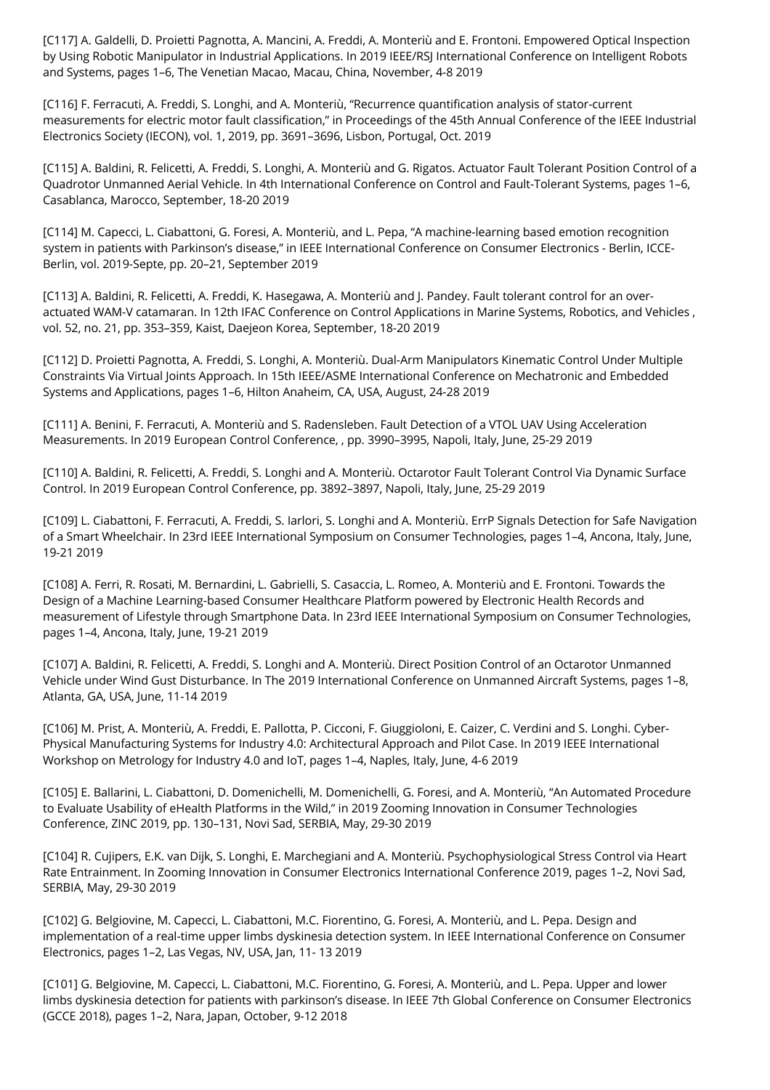[C117] A. Galdelli, D. Proietti Pagnotta, A. Mancini, A. Freddi, A. Monteriù and E. Frontoni. Empowered Optical Inspection by Using Robotic Manipulator in Industrial Applications. In 2019 IEEE/RSJ International Conference on Intelligent Robots and Systems, pages 1–6, The Venetian Macao, Macau, China, November, 4-8 2019

[C116] F. Ferracuti, A. Freddi, S. Longhi, and A. Monteriù, "Recurrence quantification analysis of stator-current measurements for electric motor fault classification," in Proceedings of the 45th Annual Conference of the IEEE Industrial Electronics Society (IECON), vol. 1, 2019, pp. 3691–3696, Lisbon, Portugal, Oct. 2019

[C115] A. Baldini, R. Felicetti, A. Freddi, S. Longhi, A. Monteriù and G. Rigatos. Actuator Fault Tolerant Position Control of a Quadrotor Unmanned Aerial Vehicle. In 4th International Conference on Control and Fault-Tolerant Systems, pages 1–6, Casablanca, Marocco, September, 18-20 2019

[C114] M. Capecci, L. Ciabattoni, G. Foresi, A. Monteriù, and L. Pepa, "A machine-learning based emotion recognition system in patients with Parkinson's disease," in IEEE International Conference on Consumer Electronics - Berlin, ICCE-Berlin, vol. 2019-Septe, pp. 20–21, September 2019

[C113] A. Baldini, R. Felicetti, A. Freddi, K. Hasegawa, A. Monteriù and J. Pandey. Fault tolerant control for an overactuated WAM-V catamaran. In 12th IFAC Conference on Control Applications in Marine Systems, Robotics, and Vehicles , vol. 52, no. 21, pp. 353–359, Kaist, Daejeon Korea, September, 18-20 2019

[C112] D. Proietti Pagnotta, A. Freddi, S. Longhi, A. Monteriù. Dual-Arm Manipulators Kinematic Control Under Multiple Constraints Via Virtual Joints Approach. In 15th IEEE/ASME International Conference on Mechatronic and Embedded Systems and Applications, pages 1–6, Hilton Anaheim, CA, USA, August, 24-28 2019

[C111] A. Benini, F. Ferracuti, A. Monteriù and S. Radensleben. Fault Detection of a VTOL UAV Using Acceleration Measurements. In 2019 European Control Conference, , pp. 3990–3995, Napoli, Italy, June, 25-29 2019

[C110] A. Baldini, R. Felicetti, A. Freddi, S. Longhi and A. Monteriù. Octarotor Fault Tolerant Control Via Dynamic Surface Control. In 2019 European Control Conference, pp. 3892–3897, Napoli, Italy, June, 25-29 2019

[C109] L. Ciabattoni, F. Ferracuti, A. Freddi, S. Iarlori, S. Longhi and A. Monteriù. ErrP Signals Detection for Safe Navigation of a Smart Wheelchair. In 23rd IEEE International Symposium on Consumer Technologies, pages 1–4, Ancona, Italy, June, 19-21 2019

[C108] A. Ferri, R. Rosati, M. Bernardini, L. Gabrielli, S. Casaccia, L. Romeo, A. Monteriù and E. Frontoni. Towards the Design of a Machine Learning-based Consumer Healthcare Platform powered by Electronic Health Records and measurement of Lifestyle through Smartphone Data. In 23rd IEEE International Symposium on Consumer Technologies, pages 1–4, Ancona, Italy, June, 19-21 2019

[C107] A. Baldini, R. Felicetti, A. Freddi, S. Longhi and A. Monteriù. Direct Position Control of an Octarotor Unmanned Vehicle under Wind Gust Disturbance. In The 2019 International Conference on Unmanned Aircraft Systems, pages 1–8, Atlanta, GA, USA, June, 11-14 2019

[C106] M. Prist, A. Monteriù, A. Freddi, E. Pallotta, P. Cicconi, F. Giuggioloni, E. Caizer, C. Verdini and S. Longhi. Cyber-Physical Manufacturing Systems for Industry 4.0: Architectural Approach and Pilot Case. In 2019 IEEE International Workshop on Metrology for Industry 4.0 and IoT, pages 1–4, Naples, Italy, June, 4-6 2019

[C105] E. Ballarini, L. Ciabattoni, D. Domenichelli, M. Domenichelli, G. Foresi, and A. Monteriù, "An Automated Procedure to Evaluate Usability of eHealth Platforms in the Wild," in 2019 Zooming Innovation in Consumer Technologies Conference, ZINC 2019, pp. 130–131, Novi Sad, SERBIA, May, 29-30 2019

[C104] R. Cujipers, E.K. van Dijk, S. Longhi, E. Marchegiani and A. Monteriù. Psychophysiological Stress Control via Heart Rate Entrainment. In Zooming Innovation in Consumer Electronics International Conference 2019, pages 1–2, Novi Sad, SERBIA, May, 29-30 2019

[C102] G. Belgiovine, M. Capecci, L. Ciabattoni, M.C. Fiorentino, G. Foresi, A. Monteriù, and L. Pepa. Design and implementation of a real-time upper limbs dyskinesia detection system. In IEEE International Conference on Consumer Electronics, pages 1–2, Las Vegas, NV, USA, Jan, 11- 13 2019

[C101] G. Belgiovine, M. Capecci, L. Ciabattoni, M.C. Fiorentino, G. Foresi, A. Monteriù, and L. Pepa. Upper and lower limbs dyskinesia detection for patients with parkinson's disease. In IEEE 7th Global Conference on Consumer Electronics (GCCE 2018), pages 1–2, Nara, Japan, October, 9-12 2018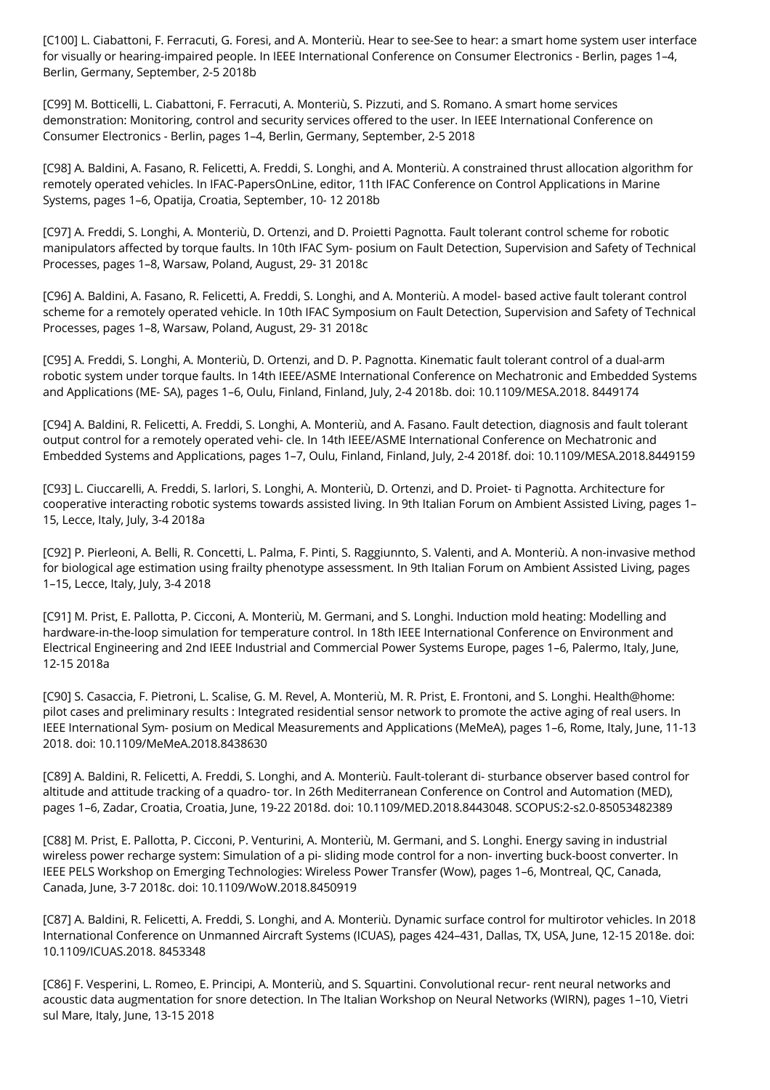[C100] L. Ciabattoni, F. Ferracuti, G. Foresi, and A. Monteriù. Hear to see-See to hear: a smart home system user interface for visually or hearing-impaired people. In IEEE International Conference on Consumer Electronics - Berlin, pages 1–4, Berlin, Germany, September, 2-5 2018b

[C99] M. Botticelli, L. Ciabattoni, F. Ferracuti, A. Monteriù, S. Pizzuti, and S. Romano. A smart home services demonstration: Monitoring, control and security services offered to the user. In IEEE International Conference on Consumer Electronics - Berlin, pages 1–4, Berlin, Germany, September, 2-5 2018

[C98] A. Baldini, A. Fasano, R. Felicetti, A. Freddi, S. Longhi, and A. Monteriù. A constrained thrust allocation algorithm for remotely operated vehicles. In IFAC-PapersOnLine, editor, 11th IFAC Conference on Control Applications in Marine Systems, pages 1–6, Opatija, Croatia, September, 10- 12 2018b

[C97] A. Freddi, S. Longhi, A. Monteriù, D. Ortenzi, and D. Proietti Pagnotta. Fault tolerant control scheme for robotic manipulators affected by torque faults. In 10th IFAC Sym- posium on Fault Detection, Supervision and Safety of Technical Processes, pages 1–8, Warsaw, Poland, August, 29- 31 2018c

[C96] A. Baldini, A. Fasano, R. Felicetti, A. Freddi, S. Longhi, and A. Monteriù. A model- based active fault tolerant control scheme for a remotely operated vehicle. In 10th IFAC Symposium on Fault Detection, Supervision and Safety of Technical Processes, pages 1–8, Warsaw, Poland, August, 29- 31 2018c

[C95] A. Freddi, S. Longhi, A. Monteriù, D. Ortenzi, and D. P. Pagnotta. Kinematic fault tolerant control of a dual-arm robotic system under torque faults. In 14th IEEE/ASME International Conference on Mechatronic and Embedded Systems and Applications (ME- SA), pages 1–6, Oulu, Finland, Finland, July, 2-4 2018b. doi: 10.1109/MESA.2018. 8449174

[C94] A. Baldini, R. Felicetti, A. Freddi, S. Longhi, A. Monteriù, and A. Fasano. Fault detection, diagnosis and fault tolerant output control for a remotely operated vehi- cle. In 14th IEEE/ASME International Conference on Mechatronic and Embedded Systems and Applications, pages 1–7, Oulu, Finland, Finland, July, 2-4 2018f. doi: 10.1109/MESA.2018.8449159

[C93] L. Ciuccarelli, A. Freddi, S. Iarlori, S. Longhi, A. Monteriù, D. Ortenzi, and D. Proiet- ti Pagnotta. Architecture for cooperative interacting robotic systems towards assisted living. In 9th Italian Forum on Ambient Assisted Living, pages 1– 15, Lecce, Italy, July, 3-4 2018a

[C92] P. Pierleoni, A. Belli, R. Concetti, L. Palma, F. Pinti, S. Raggiunnto, S. Valenti, and A. Monteriù. A non-invasive method for biological age estimation using frailty phenotype assessment. In 9th Italian Forum on Ambient Assisted Living, pages 1–15, Lecce, Italy, July, 3-4 2018

[C91] M. Prist, E. Pallotta, P. Cicconi, A. Monteriù, M. Germani, and S. Longhi. Induction mold heating: Modelling and hardware-in-the-loop simulation for temperature control. In 18th IEEE International Conference on Environment and Electrical Engineering and 2nd IEEE Industrial and Commercial Power Systems Europe, pages 1–6, Palermo, Italy, June, 12-15 2018a

[C90] S. Casaccia, F. Pietroni, L. Scalise, G. M. Revel, A. Monteriù, M. R. Prist, E. Frontoni, and S. Longhi. Health@home: pilot cases and preliminary results : Integrated residential sensor network to promote the active aging of real users. In IEEE International Sym- posium on Medical Measurements and Applications (MeMeA), pages 1–6, Rome, Italy, June, 11-13 2018. doi: 10.1109/MeMeA.2018.8438630

[C89] A. Baldini, R. Felicetti, A. Freddi, S. Longhi, and A. Monteriù. Fault-tolerant di- sturbance observer based control for altitude and attitude tracking of a quadro- tor. In 26th Mediterranean Conference on Control and Automation (MED), pages 1–6, Zadar, Croatia, Croatia, June, 19-22 2018d. doi: 10.1109/MED.2018.8443048. SCOPUS:2-s2.0-85053482389

[C88] M. Prist, E. Pallotta, P. Cicconi, P. Venturini, A. Monteriù, M. Germani, and S. Longhi. Energy saving in industrial wireless power recharge system: Simulation of a pi- sliding mode control for a non- inverting buck-boost converter. In IEEE PELS Workshop on Emerging Technologies: Wireless Power Transfer (Wow), pages 1–6, Montreal, QC, Canada, Canada, June, 3-7 2018c. doi: 10.1109/WoW.2018.8450919

[C87] A. Baldini, R. Felicetti, A. Freddi, S. Longhi, and A. Monteriù. Dynamic surface control for multirotor vehicles. In 2018 International Conference on Unmanned Aircraft Systems (ICUAS), pages 424–431, Dallas, TX, USA, June, 12-15 2018e. doi: 10.1109/ICUAS.2018. 8453348

[C86] F. Vesperini, L. Romeo, E. Principi, A. Monteriù, and S. Squartini. Convolutional recur- rent neural networks and acoustic data augmentation for snore detection. In The Italian Workshop on Neural Networks (WIRN), pages 1–10, Vietri sul Mare, Italy, June, 13-15 2018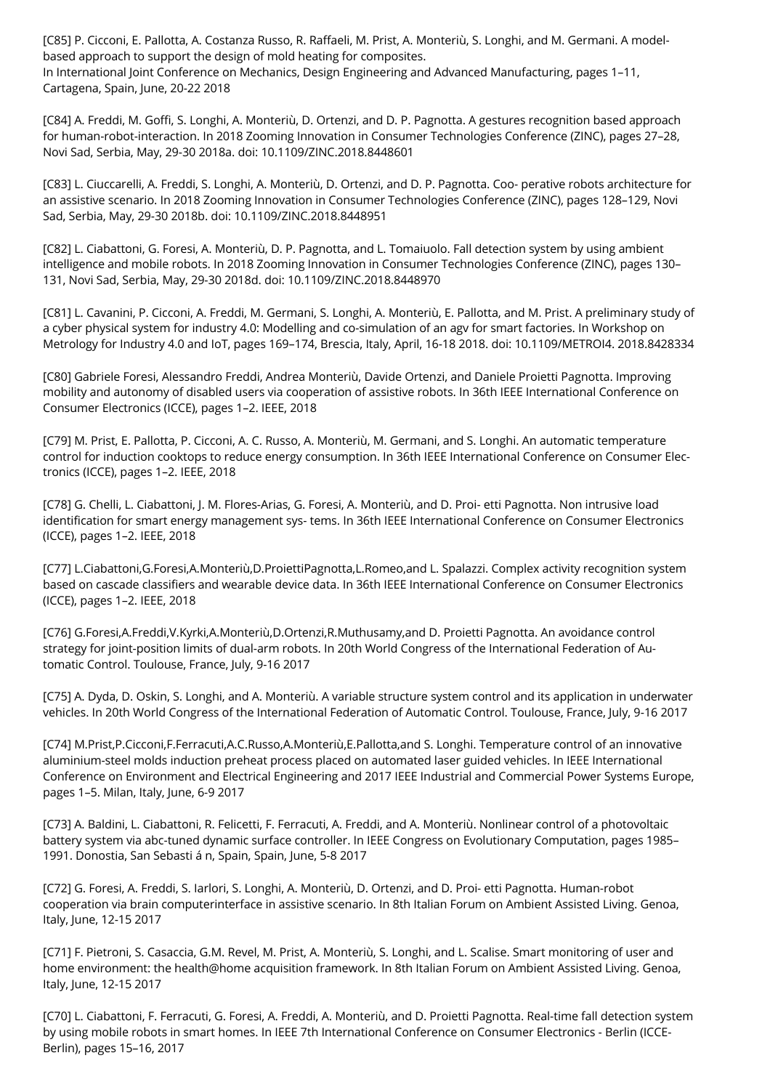[C85] P. Cicconi, E. Pallotta, A. Costanza Russo, R. Raffaeli, M. Prist, A. Monteriù, S. Longhi, and M. Germani. A modelbased approach to support the design of mold heating for composites. In International Joint Conference on Mechanics, Design Engineering and Advanced Manufacturing, pages 1–11, Cartagena, Spain, June, 20-22 2018

[C84] A. Freddi, M. Goffi, S. Longhi, A. Monteriù, D. Ortenzi, and D. P. Pagnotta. A gestures recognition based approach for human-robot-interaction. In 2018 Zooming Innovation in Consumer Technologies Conference (ZINC), pages 27–28, Novi Sad, Serbia, May, 29-30 2018a. doi: 10.1109/ZINC.2018.8448601

[C83] L. Ciuccarelli, A. Freddi, S. Longhi, A. Monteriù, D. Ortenzi, and D. P. Pagnotta. Coo- perative robots architecture for an assistive scenario. In 2018 Zooming Innovation in Consumer Technologies Conference (ZINC), pages 128–129, Novi Sad, Serbia, May, 29-30 2018b. doi: 10.1109/ZINC.2018.8448951

[C82] L. Ciabattoni, G. Foresi, A. Monteriù, D. P. Pagnotta, and L. Tomaiuolo. Fall detection system by using ambient intelligence and mobile robots. In 2018 Zooming Innovation in Consumer Technologies Conference (ZINC), pages 130– 131, Novi Sad, Serbia, May, 29-30 2018d. doi: 10.1109/ZINC.2018.8448970

[C81] L. Cavanini, P. Cicconi, A. Freddi, M. Germani, S. Longhi, A. Monteriù, E. Pallotta, and M. Prist. A preliminary study of a cyber physical system for industry 4.0: Modelling and co-simulation of an agv for smart factories. In Workshop on Metrology for Industry 4.0 and IoT, pages 169–174, Brescia, Italy, April, 16-18 2018. doi: 10.1109/METROI4. 2018.8428334

[C80] Gabriele Foresi, Alessandro Freddi, Andrea Monteriù, Davide Ortenzi, and Daniele Proietti Pagnotta. Improving mobility and autonomy of disabled users via cooperation of assistive robots. In 36th IEEE International Conference on Consumer Electronics (ICCE), pages 1–2. IEEE, 2018

[C79] M. Prist, E. Pallotta, P. Cicconi, A. C. Russo, A. Monteriù, M. Germani, and S. Longhi. An automatic temperature control for induction cooktops to reduce energy consumption. In 36th IEEE International Conference on Consumer Electronics (ICCE), pages 1–2. IEEE, 2018

[C78] G. Chelli, L. Ciabattoni, J. M. Flores-Arias, G. Foresi, A. Monteriù, and D. Proi- etti Pagnotta. Non intrusive load identification for smart energy management sys- tems. In 36th IEEE International Conference on Consumer Electronics (ICCE), pages 1–2. IEEE, 2018

[C77] L.Ciabattoni,G.Foresi,A.Monteriù,D.ProiettiPagnotta,L.Romeo,and L. Spalazzi. Complex activity recognition system based on cascade classifiers and wearable device data. In 36th IEEE International Conference on Consumer Electronics (ICCE), pages 1–2. IEEE, 2018

[C76] G.Foresi,A.Freddi,V.Kyrki,A.Monteriù,D.Ortenzi,R.Muthusamy,and D. Proietti Pagnotta. An avoidance control strategy for joint-position limits of dual-arm robots. In 20th World Congress of the International Federation of Automatic Control. Toulouse, France, July, 9-16 2017

[C75] A. Dyda, D. Oskin, S. Longhi, and A. Monteriù. A variable structure system control and its application in underwater vehicles. In 20th World Congress of the International Federation of Automatic Control. Toulouse, France, July, 9-16 2017

[C74] M.Prist,P.Cicconi,F.Ferracuti,A.C.Russo,A.Monteriù,E.Pallotta,and S. Longhi. Temperature control of an innovative aluminium-steel molds induction preheat process placed on automated laser guided vehicles. In IEEE International Conference on Environment and Electrical Engineering and 2017 IEEE Industrial and Commercial Power Systems Europe, pages 1–5. Milan, Italy, June, 6-9 2017

[C73] A. Baldini, L. Ciabattoni, R. Felicetti, F. Ferracuti, A. Freddi, and A. Monteriù. Nonlinear control of a photovoltaic battery system via abc-tuned dynamic surface controller. In IEEE Congress on Evolutionary Computation, pages 1985– 1991. Donostia, San Sebasti á n, Spain, Spain, June, 5-8 2017

[C72] G. Foresi, A. Freddi, S. Iarlori, S. Longhi, A. Monteriù, D. Ortenzi, and D. Proi- etti Pagnotta. Human-robot cooperation via brain computerinterface in assistive scenario. In 8th Italian Forum on Ambient Assisted Living. Genoa, Italy, June, 12-15 2017

[C71] F. Pietroni, S. Casaccia, G.M. Revel, M. Prist, A. Monteriù, S. Longhi, and L. Scalise. Smart monitoring of user and home environment: the health@home acquisition framework. In 8th Italian Forum on Ambient Assisted Living. Genoa, Italy, June, 12-15 2017

[C70] L. Ciabattoni, F. Ferracuti, G. Foresi, A. Freddi, A. Monteriù, and D. Proietti Pagnotta. Real-time fall detection system by using mobile robots in smart homes. In IEEE 7th International Conference on Consumer Electronics - Berlin (ICCE-Berlin), pages 15–16, 2017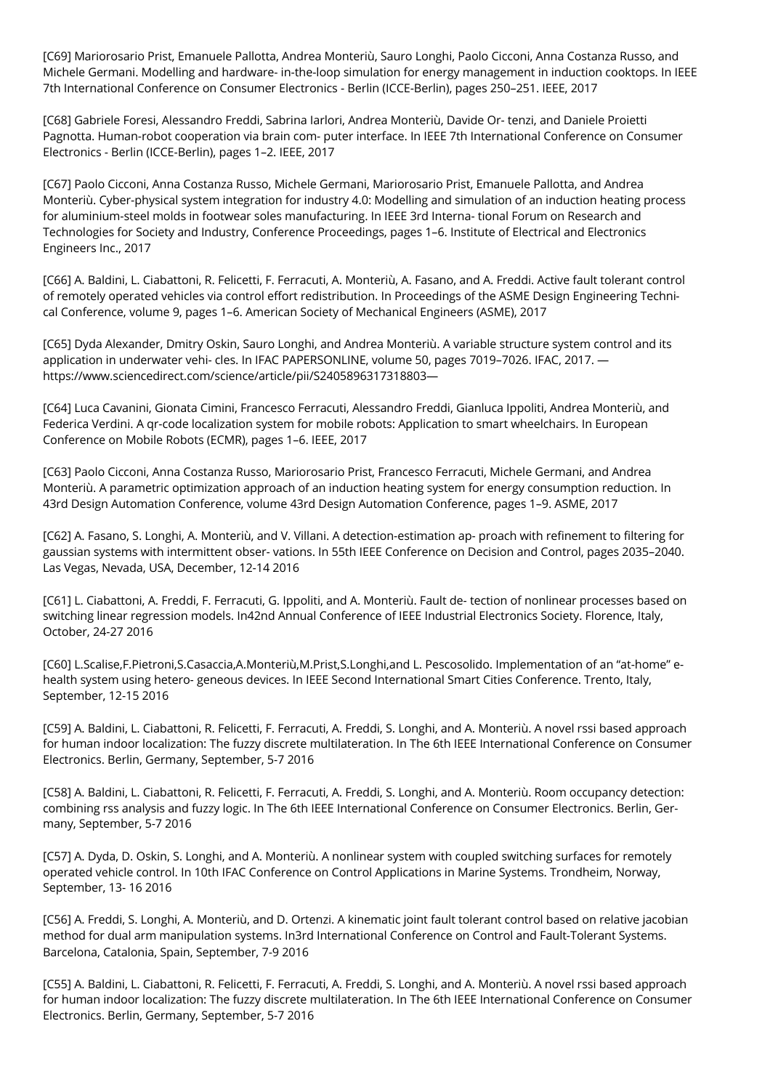[C69] Mariorosario Prist, Emanuele Pallotta, Andrea Monteriù, Sauro Longhi, Paolo Cicconi, Anna Costanza Russo, and Michele Germani. Modelling and hardware- in-the-loop simulation for energy management in induction cooktops. In IEEE 7th International Conference on Consumer Electronics - Berlin (ICCE-Berlin), pages 250–251. IEEE, 2017

[C68] Gabriele Foresi, Alessandro Freddi, Sabrina Iarlori, Andrea Monteriù, Davide Or- tenzi, and Daniele Proietti Pagnotta. Human-robot cooperation via brain com- puter interface. In IEEE 7th International Conference on Consumer Electronics - Berlin (ICCE-Berlin), pages 1–2. IEEE, 2017

[C67] Paolo Cicconi, Anna Costanza Russo, Michele Germani, Mariorosario Prist, Emanuele Pallotta, and Andrea Monteriù. Cyber-physical system integration for industry 4.0: Modelling and simulation of an induction heating process for aluminium-steel molds in footwear soles manufacturing. In IEEE 3rd Interna- tional Forum on Research and Technologies for Society and Industry, Conference Proceedings, pages 1–6. Institute of Electrical and Electronics Engineers Inc., 2017

[C66] A. Baldini, L. Ciabattoni, R. Felicetti, F. Ferracuti, A. Monteriù, A. Fasano, and A. Freddi. Active fault tolerant control of remotely operated vehicles via control effort redistribution. In Proceedings of the ASME Design Engineering Technical Conference, volume 9, pages 1–6. American Society of Mechanical Engineers (ASME), 2017

[C65] Dyda Alexander, Dmitry Oskin, Sauro Longhi, and Andrea Monteriù. A variable structure system control and its application in underwater vehi- cles. In IFAC PAPERSONLINE, volume 50, pages 7019–7026. IFAC, 2017. https://www.sciencedirect.com/science/article/pii/S2405896317318803—

[C64] Luca Cavanini, Gionata Cimini, Francesco Ferracuti, Alessandro Freddi, Gianluca Ippoliti, Andrea Monteriù, and Federica Verdini. A qr-code localization system for mobile robots: Application to smart wheelchairs. In European Conference on Mobile Robots (ECMR), pages 1–6. IEEE, 2017

[C63] Paolo Cicconi, Anna Costanza Russo, Mariorosario Prist, Francesco Ferracuti, Michele Germani, and Andrea Monteriù. A parametric optimization approach of an induction heating system for energy consumption reduction. In 43rd Design Automation Conference, volume 43rd Design Automation Conference, pages 1–9. ASME, 2017

[C62] A. Fasano, S. Longhi, A. Monteriù, and V. Villani. A detection-estimation ap- proach with refinement to filtering for gaussian systems with intermittent obser- vations. In 55th IEEE Conference on Decision and Control, pages 2035–2040. Las Vegas, Nevada, USA, December, 12-14 2016

[C61] L. Ciabattoni, A. Freddi, F. Ferracuti, G. Ippoliti, and A. Monteriù. Fault de- tection of nonlinear processes based on switching linear regression models. In42nd Annual Conference of IEEE Industrial Electronics Society. Florence, Italy, October, 24-27 2016

[C60] L.Scalise,F.Pietroni,S.Casaccia,A.Monteriù,M.Prist,S.Longhi,and L. Pescosolido. Implementation of an "at-home" ehealth system using hetero- geneous devices. In IEEE Second International Smart Cities Conference. Trento, Italy, September, 12-15 2016

[C59] A. Baldini, L. Ciabattoni, R. Felicetti, F. Ferracuti, A. Freddi, S. Longhi, and A. Monteriù. A novel rssi based approach for human indoor localization: The fuzzy discrete multilateration. In The 6th IEEE International Conference on Consumer Electronics. Berlin, Germany, September, 5-7 2016

[C58] A. Baldini, L. Ciabattoni, R. Felicetti, F. Ferracuti, A. Freddi, S. Longhi, and A. Monteriù. Room occupancy detection: combining rss analysis and fuzzy logic. In The 6th IEEE International Conference on Consumer Electronics. Berlin, Germany, September, 5-7 2016

[C57] A. Dyda, D. Oskin, S. Longhi, and A. Monteriù. A nonlinear system with coupled switching surfaces for remotely operated vehicle control. In 10th IFAC Conference on Control Applications in Marine Systems. Trondheim, Norway, September, 13- 16 2016

[C56] A. Freddi, S. Longhi, A. Monteriù, and D. Ortenzi. A kinematic joint fault tolerant control based on relative jacobian method for dual arm manipulation systems. In3rd International Conference on Control and Fault-Tolerant Systems. Barcelona, Catalonia, Spain, September, 7-9 2016

[C55] A. Baldini, L. Ciabattoni, R. Felicetti, F. Ferracuti, A. Freddi, S. Longhi, and A. Monteriù. A novel rssi based approach for human indoor localization: The fuzzy discrete multilateration. In The 6th IEEE International Conference on Consumer Electronics. Berlin, Germany, September, 5-7 2016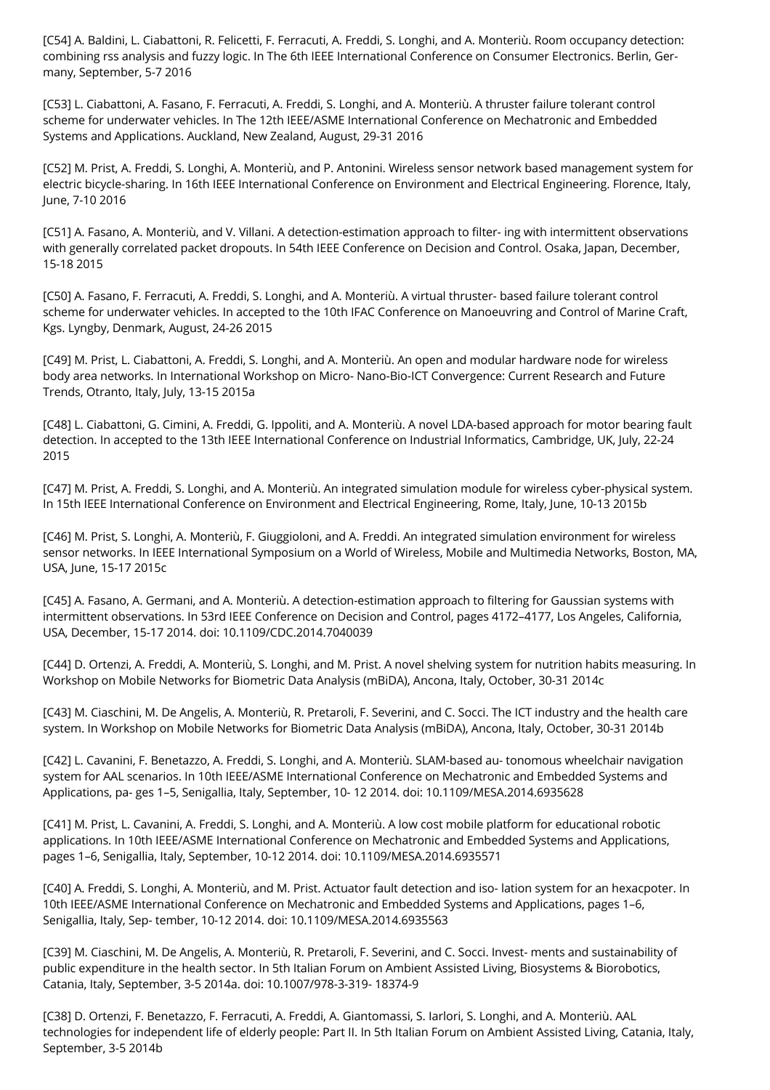[C54] A. Baldini, L. Ciabattoni, R. Felicetti, F. Ferracuti, A. Freddi, S. Longhi, and A. Monteriù. Room occupancy detection: combining rss analysis and fuzzy logic. In The 6th IEEE International Conference on Consumer Electronics. Berlin, Germany, September, 5-7 2016

[C53] L. Ciabattoni, A. Fasano, F. Ferracuti, A. Freddi, S. Longhi, and A. Monteriù. A thruster failure tolerant control scheme for underwater vehicles. In The 12th IEEE/ASME International Conference on Mechatronic and Embedded Systems and Applications. Auckland, New Zealand, August, 29-31 2016

[C52] M. Prist, A. Freddi, S. Longhi, A. Monteriù, and P. Antonini. Wireless sensor network based management system for electric bicycle-sharing. In 16th IEEE International Conference on Environment and Electrical Engineering. Florence, Italy, June, 7-10 2016

[C51] A. Fasano, A. Monteriù, and V. Villani. A detection-estimation approach to filter- ing with intermittent observations with generally correlated packet dropouts. In 54th IEEE Conference on Decision and Control. Osaka, Japan, December, 15-18 2015

[C50] A. Fasano, F. Ferracuti, A. Freddi, S. Longhi, and A. Monteriù. A virtual thruster- based failure tolerant control scheme for underwater vehicles. In accepted to the 10th IFAC Conference on Manoeuvring and Control of Marine Craft, Kgs. Lyngby, Denmark, August, 24-26 2015

[C49] M. Prist, L. Ciabattoni, A. Freddi, S. Longhi, and A. Monteriù. An open and modular hardware node for wireless body area networks. In International Workshop on Micro- Nano-Bio-ICT Convergence: Current Research and Future Trends, Otranto, Italy, July, 13-15 2015a

[C48] L. Ciabattoni, G. Cimini, A. Freddi, G. Ippoliti, and A. Monteriù. A novel LDA-based approach for motor bearing fault detection. In accepted to the 13th IEEE International Conference on Industrial Informatics, Cambridge, UK, July, 22-24 2015

[C47] M. Prist, A. Freddi, S. Longhi, and A. Monteriù. An integrated simulation module for wireless cyber-physical system. In 15th IEEE International Conference on Environment and Electrical Engineering, Rome, Italy, June, 10-13 2015b

[C46] M. Prist, S. Longhi, A. Monteriù, F. Giuggioloni, and A. Freddi. An integrated simulation environment for wireless sensor networks. In IEEE International Symposium on a World of Wireless, Mobile and Multimedia Networks, Boston, MA, USA, June, 15-17 2015c

[C45] A. Fasano, A. Germani, and A. Monteriù. A detection-estimation approach to filtering for Gaussian systems with intermittent observations. In 53rd IEEE Conference on Decision and Control, pages 4172–4177, Los Angeles, California, USA, December, 15-17 2014. doi: 10.1109/CDC.2014.7040039

[C44] D. Ortenzi, A. Freddi, A. Monteriù, S. Longhi, and M. Prist. A novel shelving system for nutrition habits measuring. In Workshop on Mobile Networks for Biometric Data Analysis (mBiDA), Ancona, Italy, October, 30-31 2014c

[C43] M. Ciaschini, M. De Angelis, A. Monteriù, R. Pretaroli, F. Severini, and C. Socci. The ICT industry and the health care system. In Workshop on Mobile Networks for Biometric Data Analysis (mBiDA), Ancona, Italy, October, 30-31 2014b

[C42] L. Cavanini, F. Benetazzo, A. Freddi, S. Longhi, and A. Monteriù. SLAM-based au- tonomous wheelchair navigation system for AAL scenarios. In 10th IEEE/ASME International Conference on Mechatronic and Embedded Systems and Applications, pa- ges 1–5, Senigallia, Italy, September, 10- 12 2014. doi: 10.1109/MESA.2014.6935628

[C41] M. Prist, L. Cavanini, A. Freddi, S. Longhi, and A. Monteriù. A low cost mobile platform for educational robotic applications. In 10th IEEE/ASME International Conference on Mechatronic and Embedded Systems and Applications, pages 1–6, Senigallia, Italy, September, 10-12 2014. doi: 10.1109/MESA.2014.6935571

[C40] A. Freddi, S. Longhi, A. Monteriù, and M. Prist. Actuator fault detection and iso- lation system for an hexacpoter. In 10th IEEE/ASME International Conference on Mechatronic and Embedded Systems and Applications, pages 1–6, Senigallia, Italy, Sep- tember, 10-12 2014. doi: 10.1109/MESA.2014.6935563

[C39] M. Ciaschini, M. De Angelis, A. Monteriù, R. Pretaroli, F. Severini, and C. Socci. Invest- ments and sustainability of public expenditure in the health sector. In 5th Italian Forum on Ambient Assisted Living, Biosystems & Biorobotics, Catania, Italy, September, 3-5 2014a. doi: 10.1007/978-3-319- 18374-9

[C38] D. Ortenzi, F. Benetazzo, F. Ferracuti, A. Freddi, A. Giantomassi, S. Iarlori, S. Longhi, and A. Monteriù. AAL technologies for independent life of elderly people: Part II. In 5th Italian Forum on Ambient Assisted Living, Catania, Italy, September, 3-5 2014b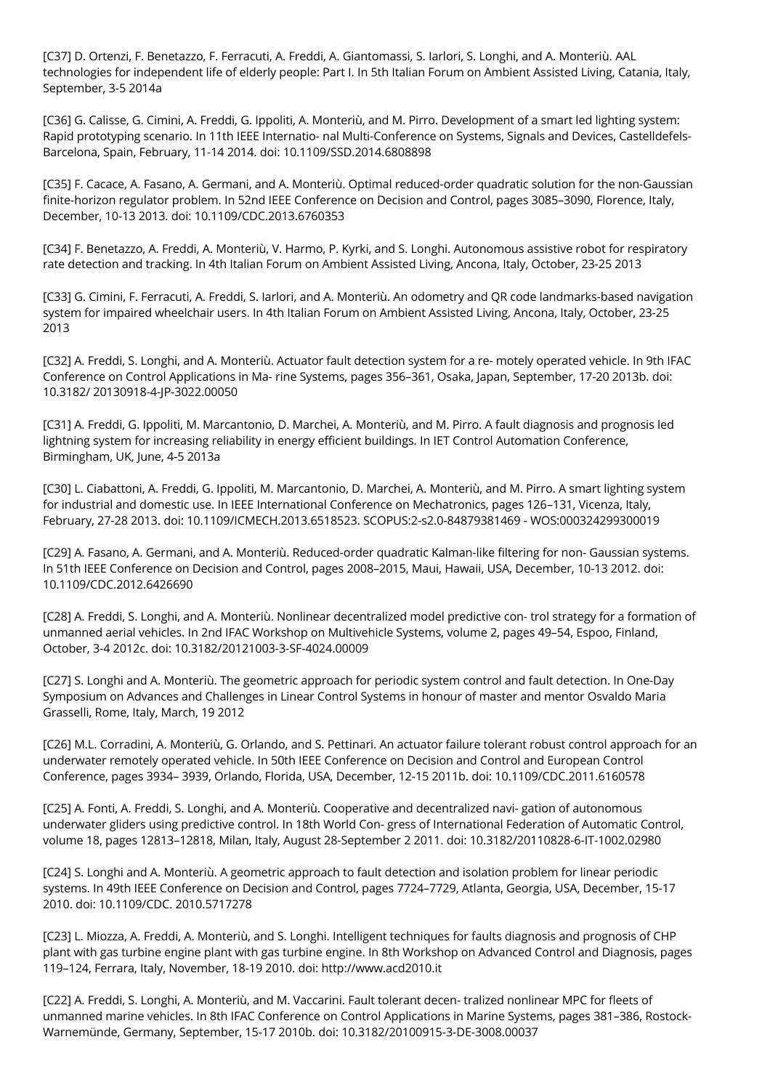[C37] D. Ortenzi, F. Benetazzo, F. Ferracuti, A. Freddi, A. Giantomassi, S. Iarlori, S. Longhi, and A. Monteriù. AAL technologies for independent life of elderly people: Part I. In 5th Italian Forum on Ambient Assisted Living, Catania, Italy, September, 3-5 2014a

[C36] G. Calisse, G. Cimini, A. Freddi, G. Ippoliti, A. Monteriù, and M. Pirro. Development of a smart led lighting system: Rapid prototyping scenario. In 11th IEEE Internatio- nal Multi-Conference on Systems, Signals and Devices, Castelldefels-Barcelona, Spain, February, 11-14 2014. doi: 10.1109/SSD.2014.6808898

[C35] F. Cacace, A. Fasano, A. Germani, and A. Monteriù. Optimal reduced-order quadratic solution for the non-Gaussian finite-horizon regulator problem. In 52nd IEEE Conference on Decision and Control, pages 3085–3090, Florence, Italy, December, 10-13 2013. doi: 10.1109/CDC.2013.6760353

[C34] F. Benetazzo, A. Freddi, A. Monteriù, V. Harmo, P. Kyrki, and S. Longhi. Autonomous assistive robot for respiratory rate detection and tracking. In 4th Italian Forum on Ambient Assisted Living, Ancona, Italy, October, 23-25 2013

[C33] G. Cimini, F. Ferracuti, A. Freddi, S. Iarlori, and A. Monteriù. An odometry and QR code landmarks-based navigation system for impaired wheelchair users. In 4th Italian Forum on Ambient Assisted Living, Ancona, Italy, October, 23-25 2013

[C32] A. Freddi, S. Longhi, and A. Monteriù. Actuator fault detection system for a re- motely operated vehicle. In 9th IFAC Conference on Control Applications in Ma- rine Systems, pages 356–361, Osaka, Japan, September, 17-20 2013b. doi: 10.3182/ 20130918-4-JP-3022.00050

[C31] A. Freddi, G. Ippoliti, M. Marcantonio, D. Marchei, A. Monteriù, and M. Pirro. A fault diagnosis and prognosis led lightning system for increasing reliability in energy efficient buildings. In IET Control Automation Conference, Birmingham, UK, June, 4-5 2013a

[C30] L. Ciabattoni, A. Freddi, G. Ippoliti, M. Marcantonio, D. Marchei, A. Monteriù, and M. Pirro. A smart lighting system for industrial and domestic use. In IEEE International Conference on Mechatronics, pages 126–131, Vicenza, Italy, February, 27-28 2013. doi: 10.1109/ICMECH.2013.6518523. SCOPUS:2-s2.0-84879381469 - WOS:000324299300019

[C29] A. Fasano, A. Germani, and A. Monteriù. Reduced-order quadratic Kalman-like filtering for non- Gaussian systems. In 51th IEEE Conference on Decision and Control, pages 2008–2015, Maui, Hawaii, USA, December, 10-13 2012. doi: 10.1109/CDC.2012.6426690

[C28] A. Freddi, S. Longhi, and A. Monteriù. Nonlinear decentralized model predictive con- trol strategy for a formation of unmanned aerial vehicles. In 2nd IFAC Workshop on Multivehicle Systems, volume 2, pages 49–54, Espoo, Finland, October, 3-4 2012c. doi: 10.3182/20121003-3-SF-4024.00009

[C27] S. Longhi and A. Monteriù. The geometric approach for periodic system control and fault detection. In One-Day Symposium on Advances and Challenges in Linear Control Systems in honour of master and mentor Osvaldo Maria Grasselli, Rome, Italy, March, 19 2012

[C26] M.L. Corradini, A. Monteriù, G. Orlando, and S. Pettinari. An actuator failure tolerant robust control approach for an underwater remotely operated vehicle. In 50th IEEE Conference on Decision and Control and European Control Conference, pages 3934– 3939, Orlando, Florida, USA, December, 12-15 2011b. doi: 10.1109/CDC.2011.6160578

[C25] A. Fonti, A. Freddi, S. Longhi, and A. Monteriù. Cooperative and decentralized navi- gation of autonomous underwater gliders using predictive control. In 18th World Con- gress of International Federation of Automatic Control, volume 18, pages 12813–12818, Milan, Italy, August 28-September 2 2011. doi: 10.3182/20110828-6-IT-1002.02980

[C24] S. Longhi and A. Monteriù. A geometric approach to fault detection and isolation problem for linear periodic systems. In 49th IEEE Conference on Decision and Control, pages 7724–7729, Atlanta, Georgia, USA, December, 15-17 2010. doi: 10.1109/CDC. 2010.5717278

[C23] L. Miozza, A. Freddi, A. Monteriù, and S. Longhi. Intelligent techniques for faults diagnosis and prognosis of CHP plant with gas turbine engine plant with gas turbine engine. In 8th Workshop on Advanced Control and Diagnosis, pages 119–124, Ferrara, Italy, November, 18-19 2010. doi: http://www.acd2010.it

[C22] A. Freddi, S. Longhi, A. Monteriù, and M. Vaccarini. Fault tolerant decen- tralized nonlinear MPC for fleets of unmanned marine vehicles. In 8th IFAC Conference on Control Applications in Marine Systems, pages 381–386, Rostock-Warnemünde, Germany, September, 15-17 2010b. doi: 10.3182/20100915-3-DE-3008.00037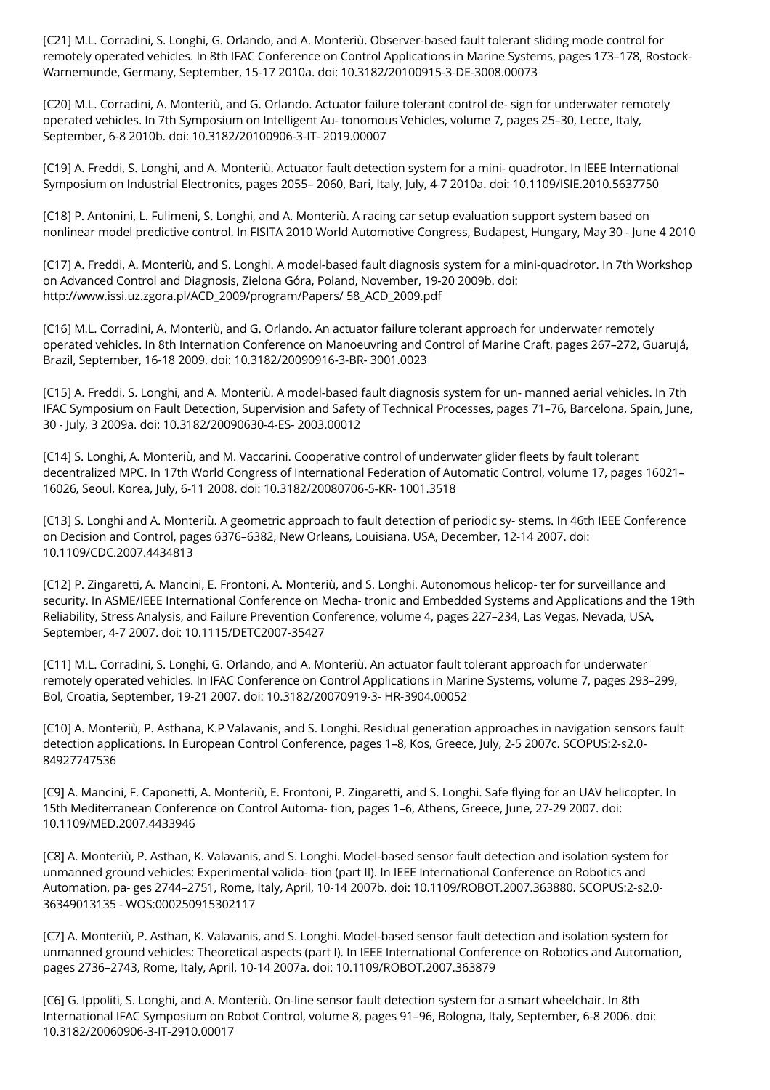[C21] M.L. Corradini, S. Longhi, G. Orlando, and A. Monteriù. Observer-based fault tolerant sliding mode control for remotely operated vehicles. In 8th IFAC Conference on Control Applications in Marine Systems, pages 173–178, Rostock-Warnemünde, Germany, September, 15-17 2010a. doi: 10.3182/20100915-3-DE-3008.00073

[C20] M.L. Corradini, A. Monteriù, and G. Orlando. Actuator failure tolerant control de- sign for underwater remotely operated vehicles. In 7th Symposium on Intelligent Au- tonomous Vehicles, volume 7, pages 25–30, Lecce, Italy, September, 6-8 2010b. doi: 10.3182/20100906-3-IT- 2019.00007

[C19] A. Freddi, S. Longhi, and A. Monteriù. Actuator fault detection system for a mini- quadrotor. In IEEE International Symposium on Industrial Electronics, pages 2055– 2060, Bari, Italy, July, 4-7 2010a. doi: 10.1109/ISIE.2010.5637750

[C18] P. Antonini, L. Fulimeni, S. Longhi, and A. Monteriù. A racing car setup evaluation support system based on nonlinear model predictive control. In FISITA 2010 World Automotive Congress, Budapest, Hungary, May 30 - June 4 2010

[C17] A. Freddi, A. Monteriù, and S. Longhi. A model-based fault diagnosis system for a mini-quadrotor. In 7th Workshop on Advanced Control and Diagnosis, Zielona Góra, Poland, November, 19-20 2009b. doi: http://www.issi.uz.zgora.pl/ACD\_2009/program/Papers/ 58\_ACD\_2009.pdf

[C16] M.L. Corradini, A. Monteriù, and G. Orlando. An actuator failure tolerant approach for underwater remotely operated vehicles. In 8th Internation Conference on Manoeuvring and Control of Marine Craft, pages 267–272, Guarujá, Brazil, September, 16-18 2009. doi: 10.3182/20090916-3-BR- 3001.0023

[C15] A. Freddi, S. Longhi, and A. Monteriù. A model-based fault diagnosis system for un- manned aerial vehicles. In 7th IFAC Symposium on Fault Detection, Supervision and Safety of Technical Processes, pages 71–76, Barcelona, Spain, June, 30 - July, 3 2009a. doi: 10.3182/20090630-4-ES- 2003.00012

[C14] S. Longhi, A. Monteriù, and M. Vaccarini. Cooperative control of underwater glider fleets by fault tolerant decentralized MPC. In 17th World Congress of International Federation of Automatic Control, volume 17, pages 16021– 16026, Seoul, Korea, July, 6-11 2008. doi: 10.3182/20080706-5-KR- 1001.3518

[C13] S. Longhi and A. Monteriù. A geometric approach to fault detection of periodic sy- stems. In 46th IEEE Conference on Decision and Control, pages 6376–6382, New Orleans, Louisiana, USA, December, 12-14 2007. doi: 10.1109/CDC.2007.4434813

[C12] P. Zingaretti, A. Mancini, E. Frontoni, A. Monteriù, and S. Longhi. Autonomous helicop- ter for surveillance and security. In ASME/IEEE International Conference on Mecha- tronic and Embedded Systems and Applications and the 19th Reliability, Stress Analysis, and Failure Prevention Conference, volume 4, pages 227–234, Las Vegas, Nevada, USA, September, 4-7 2007. doi: 10.1115/DETC2007-35427

[C11] M.L. Corradini, S. Longhi, G. Orlando, and A. Monteriù. An actuator fault tolerant approach for underwater remotely operated vehicles. In IFAC Conference on Control Applications in Marine Systems, volume 7, pages 293–299, Bol, Croatia, September, 19-21 2007. doi: 10.3182/20070919-3- HR-3904.00052

[C10] A. Monteriù, P. Asthana, K.P Valavanis, and S. Longhi. Residual generation approaches in navigation sensors fault detection applications. In European Control Conference, pages 1–8, Kos, Greece, July, 2-5 2007c. SCOPUS:2-s2.0- 84927747536

[C9] A. Mancini, F. Caponetti, A. Monteriù, E. Frontoni, P. Zingaretti, and S. Longhi. Safe flying for an UAV helicopter. In 15th Mediterranean Conference on Control Automa- tion, pages 1–6, Athens, Greece, June, 27-29 2007. doi: 10.1109/MED.2007.4433946

[C8] A. Monteriù, P. Asthan, K. Valavanis, and S. Longhi. Model-based sensor fault detection and isolation system for unmanned ground vehicles: Experimental valida- tion (part II). In IEEE International Conference on Robotics and Automation, pa- ges 2744–2751, Rome, Italy, April, 10-14 2007b. doi: 10.1109/ROBOT.2007.363880. SCOPUS:2-s2.0- 36349013135 - WOS:000250915302117

[C7] A. Monteriù, P. Asthan, K. Valavanis, and S. Longhi. Model-based sensor fault detection and isolation system for unmanned ground vehicles: Theoretical aspects (part I). In IEEE International Conference on Robotics and Automation, pages 2736–2743, Rome, Italy, April, 10-14 2007a. doi: 10.1109/ROBOT.2007.363879

[C6] G. Ippoliti, S. Longhi, and A. Monteriù. On-line sensor fault detection system for a smart wheelchair. In 8th International IFAC Symposium on Robot Control, volume 8, pages 91–96, Bologna, Italy, September, 6-8 2006. doi: 10.3182/20060906-3-IT-2910.00017